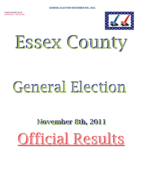

# Essex County

# General Election

# **November 8th, 2011** Official Results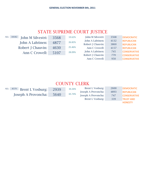# STATE SUPREME COURT JUSTICE

| ALL: 18182<br>John M Silvestri: | 3568 | 19.62% | John M Silvestri: | 3568 | <b>DEMOCRATIC</b>   |
|---------------------------------|------|--------|-------------------|------|---------------------|
| John A Lahtinen:                | 4877 | 26.82% | John A Lahtinen:  | 4132 | <b>REPUBLICAN</b>   |
|                                 |      |        | Robert J Chauvin: | 3860 | <b>REPUBLICAN</b>   |
| Robert J Chauvin:               | 4630 | 25.46% | Ann C Crowell:    | 4157 | <b>REPUBLICAN</b>   |
| Ann C Crowell:                  | 5107 | 28.09% | John A Lahtinen:  | 745  | <b>CONSERVATIVE</b> |
|                                 |      |        | Robert J Chauvin: | 770  | <b>CONSERVATIVE</b> |
|                                 |      |        | Ann C Crowell:    | 950  | <b>CONSERVATIVE</b> |

# COUNTY CLERK

| ALL: | 8579 | Brent L Vosburg:    | 2939 | 34.26% | Brent L Vosburg:    | 2600 | <b>DEMOCRATIC</b>   |
|------|------|---------------------|------|--------|---------------------|------|---------------------|
|      |      |                     |      |        | Joseph A Provoncha: | 4893 | <b>REPUBLICAN</b>   |
|      |      | Joseph A Provoncha: | 5640 | 65.74% | Joseph A Provoncha: | 747  | <b>CONSERVATIVE</b> |
|      |      |                     |      |        | Brent L Vosburg:    | 339  | <b>TRUST AND</b>    |
|      |      |                     |      |        |                     |      | <b>HONESTY</b>      |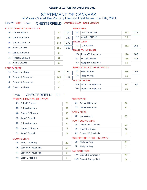# STATEMENT OF CANVASS of Votes Cast at the Primary Election Held November 8th, 2011

# Elec Yr: 2011 Town: CHESTERFIELD Assy Dist 113th - Cong Dist 23rd

|        | STATE SUPREME COURT JUSTICE |     |     | <b>SUPERVISOR</b> |                                   |     |     |
|--------|-----------------------------|-----|-----|-------------------|-----------------------------------|-----|-----|
| 1A:    | John M Silvestri            | 94  | 94  |                   | 5A: Gerald H Morrow               | 213 | 232 |
| 1B:    | John A Lahtinen             | 157 | 187 | $5G$ :            | <b>Gerald H Morrow</b>            | 19  |     |
| 2B:    | <b>Robert J Chauvin</b>     | 148 | 179 |                   | <b>TOWN CLERK</b>                 |     |     |
| 3B:    | Ann C Crowell               | 155 | 192 |                   | 6B: Lynn A Jarvis                 | 252 | 252 |
|        |                             |     |     |                   | <b>TOWN COUNCILMAN</b>            |     |     |
| 1C:    | John A Lahtinen             | 30  |     |                   | 7A: Joseph W Kusalonis            | 176 | 188 |
| $2C$ : | Robert J Chauvin            | 31  |     | 7B:               | <b>Russell L Blaise</b>           | 186 | 186 |
| $3C$ : | Ann C Crowell               | 37  |     |                   | 7G: Joseph W Kusalonis            | 12  |     |
|        | <b>COUNTY CLERK</b>         |     |     |                   | <b>SUPERINTENDENT OF HIGHWAYS</b> |     |     |
| 4A:    | <b>Brent L Vosburg</b>      | 78  | 82  | 9B:               | Philip W Pray                     | 235 | 254 |
| 4B:    | Joseph A Provoncha          | 165 | 191 | 9F:               | Philip W Pray                     | 19  |     |
| $4C$ : | Joseph A Provoncha          | 26  |     |                   | <b>TAX COLLECTOR</b>              |     |     |
|        |                             |     |     |                   | 104: Rruce   Rourgeois Ir         | 224 | 261 |

| 10A: Bruce L Bourgeois Jr |  |
|---------------------------|--|
| 10G: Bruce L Bourgeois Jr |  |

261

# Town: CHESTERFIELD ED: 1

#### STATE SUPREME COURT JUSTICE

4E: Brent L Vosburg 4-1 and 4-1 and 4-1 and 4-1 and 4-1 and 4-1 and 4-1 and 4-1 and 4-1 and 4-1 and 4-1 and 4-1 and 4-1 and 4-1 and 4-1 and 4-1 and 4-1 and 4-1 and 4-1 and 4-1 and 4-1 and 4-1 and 4-1 and 4-1 and 4-1 and 4-

| $1A$ :          | John M Silvestri       | 26              | 5A:               | <b>Gerald H Morrow</b>            | 64 |
|-----------------|------------------------|-----------------|-------------------|-----------------------------------|----|
| 1B:             | John A Lahtinen        | 52              | 5G:               | <b>Gerald H Morrow</b>            | 6  |
| 2B:             | Robert J Chauvin       | 50              | <b>TOWN CLERK</b> |                                   |    |
| 3B:             | Ann C Crowell          | 52              |                   | 6B: Lynn A Jarvis                 | 83 |
|                 |                        |                 |                   | <b>TOWN COUNCILMAN</b>            |    |
| 1C:             | John A Lahtinen        | 9               | 7A:               | Joseph W Kusalonis                | 59 |
| $2C$ :          | Robert J Chauvin       | 12 <sup>°</sup> | 7B:               | Russell L Blaise                  | 64 |
| 3C <sub>i</sub> | Ann C Crowell          | 13              | 7G:               | Joseph W Kusalonis                | 3  |
|                 | <b>COUNTY CLERK</b>    |                 |                   | <b>SUPERINTENDENT OF HIGHWAYS</b> |    |
| 4A:             | <b>Brent L Vosburg</b> | 22              | 9B:               | Philip W Pray                     | 82 |
| 4B:             | Joseph A Provoncha     | 56              | 9F:               | Philip W Pray                     | 7  |
|                 |                        |                 |                   | <b>TAX COLLECTOR</b>              |    |
| $4C$ :          | Joseph A Provoncha     | 9               |                   |                                   |    |
|                 |                        |                 |                   | 10A: Bruce L Bourgeois Jr         | 72 |

**SUPERVISOR** 

10G: Bruce L Bourgeois Jr 11 4E: Brent L Vosburg 2008 1 2009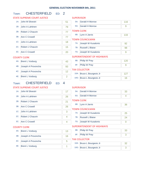# Town: CHESTERFIELD ED: 2

|                 | <b>STATE SUPREME COURT JUSTICE</b> |                | <b>SUPERVISOR</b>                 |                |
|-----------------|------------------------------------|----------------|-----------------------------------|----------------|
| $1A$ :          | John M Silvestri                   | 51             | 5A:<br><b>Gerald H Morrow</b>     | 116            |
| 1B:             | John A Lahtinen                    | 79             | <b>Gerald H Morrow</b><br>5G:     | 9              |
| 2B:             | Robert J Chauvin                   | 77             | <b>TOWN CLERK</b>                 |                |
| 3B:             | <b>Ann C Crowell</b>               | 77             | 6B:<br>Lynn A Jarvis              | 133            |
| 1C <sub>i</sub> | John A Lahtinen                    |                | <b>TOWN COUNCILMAN</b>            |                |
|                 |                                    | 18             | 7A:<br>Joseph W Kusalonis         | 92             |
| 2C:             | Robert J Chauvin                   | 15             | 7B:<br><b>Russell L Blaise</b>    | 98             |
| 3C:             | <b>Ann C Crowell</b>               | 20             | 7G:<br>Joseph W Kusalonis         | 9              |
|                 | <b>COUNTY CLERK</b>                |                | <b>SUPERINTENDENT OF HIGHWAYS</b> |                |
| 4A:             | <b>Brent L Vosburg</b>             | 43             | 9B:<br>Philip W Pray              | 120            |
| 4B:             | Joseph A Provoncha                 | 93             | 9F:<br>Philip W Pray              | 9              |
| 4C:             | Joseph A Provoncha                 | 12             | <b>TAX COLLECTOR</b>              |                |
|                 |                                    |                | 10A: Bruce L Bourgeois Jr         | 127            |
| 4E:             | <b>Brent L Vosburg</b>             | $\overline{2}$ | 10G: Bruce L Bourgeois Jr         | 16             |
| Town:           | <b>CHESTERFIELD</b><br>ED:         | 4              |                                   |                |
|                 | <b>STATE SUPREME COURT JUSTICE</b> |                | <b>SUPERVISOR</b>                 |                |
| 1A:             | John M Silvestri                   | 17             | <b>Gerald H Morrow</b><br>5A:     | 33             |
| 1B:             | John A Lahtinen                    | 26             | <b>Gerald H Morrow</b><br>5G:     | 4              |
| 2B:             | Robert J Chauvin                   | 21             | <b>TOWN CLERK</b>                 |                |
| 3B:             | <b>Ann C Crowell</b>               | 26             | 6B:<br>Lynn A Jarvis              | 36             |
|                 |                                    |                | <b>TOWN COUNCILMAN</b>            |                |
| 1C:             | John A Lahtinen                    | 3              | 7A:<br>Joseph W Kusalonis         | 25             |
| 2C:             | Robert J Chauvin                   | 4              | 7B:<br><b>Russell L Blaise</b>    | 24             |
| 3C:             | <b>Ann C Crowell</b>               | 4              | 7G:<br>Joseph W Kusalonis         | $\overline{0}$ |
|                 | <b>COUNTY CLERK</b>                |                | <b>SUPERINTENDENT OF HIGHWAYS</b> |                |
| 4A:             | <b>Brent L Vosburg</b>             | 13             | 9B:<br>Philip W Pray              | 33             |
| 4B:             | Joseph A Provoncha                 | 16             | 9F:<br>Philip W Pray              | 3              |
| 4C:             | Joseph A Provoncha                 | 5              | <b>TAX COLLECTOR</b>              |                |
|                 |                                    |                | 10A: Bruce L Bourgeois Jr         | 32             |
| 4E:             | <b>Brent L Vosburg</b>             | 1              | 10G: Bruce L Bourgeois Jr         | 3              |
|                 |                                    |                |                                   |                |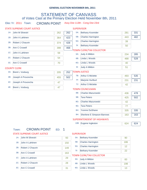# STATEMENT OF CANVASS of Votes Cast at the Primary Election Held November 8th, 2011

# Elec Yr: 2011 Town: CROWN POINT Assy Dist 113th - Cong Dist 23rd

#### STATE SUPREME COURT JUSTICE

#### **SUPERVISOR**

| $1A$ : | John M Silvestri | 262 | 262 | 5A:   | <b>Bethany Kosmider</b>   | 281 | 331 |
|--------|------------------|-----|-----|-------|---------------------------|-----|-----|
| 1B:    | John A Lahtinen  | 364 | 423 | 5B:   | <b>Charles Harrington</b> | 443 | 482 |
| 2B:    | Robert J Chauvin | 374 | 428 | 5G:   | <b>Charles Harrington</b> | 39  |     |
| 3B:    | Ann C Crowell    | 398 | 468 | $5$ : | <b>Bethany Kosmider</b>   | 50  |     |
| $1C$ : | John A Lahtinen  | 59  |     |       | TOWN CLERK/TAX COLLECTOR  |     |     |
|        |                  |     |     |       | 6A: Judy A Mildon         | 234 | 285 |
| $2C$ : | Robert J Chauvin | 54  |     | 6B:   | Linda L Woods             | 488 | 528 |
| $3C$ : | Ann C Crowell    | 70  |     | 6G:   | Linda L Woods             | 40  |     |
|        | OUNTY CLERK:     |     |     | 6!    | Judy A Mildon             | 51  |     |

#### COUNTY CLERK

|     | 4A: Brent L Vosburg    | 205 | 252 |  |
|-----|------------------------|-----|-----|--|
| 4B: | Joseph A Provoncha     | 455 | 502 |  |
|     | 4C: Joseph A Provoncha |     |     |  |
|     | 4E: Brent L Vosburg    |     |     |  |
|     |                        |     |     |  |

# **OWN JUSTICE**

|     | 7B: Arthur S Miclette    |     | 535 |
|-----|--------------------------|-----|-----|
|     | 7F: Marjorie Hurlburt    | 231 | 231 |
| 7J: | <b>Arthur S Miclette</b> |     |     |

#### **OWN COUNCILMAN**

| 8B:    | <b>Charles Mazurowski</b>         | 436 | 478 |
|--------|-----------------------------------|-----|-----|
| 9B:    | <b>Tara Peters</b>                | 425 | 502 |
| $8G$ : | Charles Mazurowski                | 42  |     |
| 9G:    | <b>Tara Peters</b>                | 77  |     |
| 8H:    | Yvonne DuShane                    | 335 | 335 |
| 9H:    | <b>Sherlene E Simpson-Barrows</b> | 163 | 163 |

#### SUPERINTENDENT OF HIGHWAYS

| $10B$ : | Eugene Ingleston |  |
|---------|------------------|--|
|         |                  |  |
|         |                  |  |

# Town: CROWN POINT ED: 1

1A: John M Silvestri 93

#### **SUPERVISOR**

| <b>STATE SUPREME COURT JUSTICE</b> |  |
|------------------------------------|--|
|------------------------------------|--|

| 1B: | John A Lahtinen |  |
|-----|-----------------|--|

- 2B: Robert J Chauvin 149
- 3B: Ann C Crowell 263
- 1C: John A Lahtinen 29
- 2C: Robert J Chauvin 28
- 
- 3C: Ann C Crowell 31

|       | 5A: Bethany Kosmider    | 90  |
|-------|-------------------------|-----|
|       | 5B: Charles Harrington  | 186 |
|       | 5G: Charles Harrington  | 12  |
| $5$ : | <b>Bethany Kosmider</b> | 22  |

#### TOWN CLERK/TAX COLLECTOR

| 6A: Judy A Mildon | 83  |
|-------------------|-----|
| 6B: Linda L Woods | 198 |
| 6G: Linda L Woods | 13  |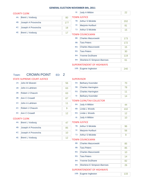|        | <b>COUNTY CLERK</b>                |                | Judy A Mildon<br>6!               | 22  |
|--------|------------------------------------|----------------|-----------------------------------|-----|
| 4A:    | <b>Brent L Vosburg</b>             | 80             | <b>TOWN JUSTICE</b>               |     |
| 4B:    | Joseph A Provoncha                 | 177            | <b>Arthur S Miclette</b><br>7B:   | 202 |
| 4C:    | Joseph A Provoncha                 | 18             | 7F:<br>Marjorie Hurlburt          | 81  |
| 4E:    |                                    |                | <b>Arthur S Miclette</b><br>7J:   | 15  |
|        | <b>Brent L Vosburg</b>             | 17             | <b>TOWN COUNCILMAN</b>            |     |
|        |                                    |                | <b>Charles Mazurowski</b><br>8B:  | 173 |
|        |                                    |                | <b>Tara Peters</b><br>9B:         | 172 |
|        |                                    |                | <b>Charles Mazurowski</b><br>8G:  | 15  |
|        |                                    |                | <b>Tara Peters</b><br>9G:         | 30  |
|        |                                    |                | <b>Yvonne DuShane</b><br>8H:      | 119 |
|        |                                    |                | Sherlene E Simpson-Barrows<br>9H: | 61  |
|        |                                    |                | <b>SUPERINTENDENT OF HIGHWAYS</b> |     |
|        |                                    |                | 10B: Eugene Ingleston             | 240 |
| Town:  | <b>CROWN POINT</b><br>ED: 2        |                |                                   |     |
|        | <b>STATE SUPREME COURT JUSTICE</b> |                | <b>SUPERVISOR</b>                 |     |
| 1A:    | John M Silvestri                   | 56             | <b>Bethany Kosmider</b><br>5A:    | 70  |
| 1B:    | John A Lahtinen                    | 63             | <b>Charles Harrington</b><br>5B:  | 78  |
| 2B:    |                                    |                | <b>Charles Harrington</b><br>5G:  | 11  |
|        | Robert J Chauvin                   | 63             | <b>Bethany Kosmider</b><br>5!     | 14  |
| 3B:    | <b>Ann C Crowell</b>               | 67             | <b>TOWN CLERK/TAX COLLECTOR</b>   |     |
| $1C$ : | John A Lahtinen                    | 11             | Judy A Mildon<br>6A:              | 44  |
| $2C$ : | Robert J Chauvin                   | $\overline{9}$ | Linda L Woods<br>6B:              | 102 |
| $3C$ : | Ann C Crowell                      | 12             | Linda L Woods<br>6G:              | 12  |
|        | <b>COUNTY CLERK</b>                |                | Judy A Mildon<br>6I:              | 10  |
| 4A:    | <b>Brent L Vosburg</b>             | 47             | <b>TOWN JUSTICE</b>               |     |
| 4B:    | Joseph A Provoncha                 | 85             | <b>Arthur S Miclette</b><br>7B:   | 96  |
|        |                                    |                | Marjorie Hurlburt<br>7F:          | 56  |
| $4C$ : | Joseph A Provoncha                 | 10             | <b>Arthur S Miclette</b><br>7J:   | 9   |
| 4E:    | <b>Brent L Vosburg</b>             | 12             | <b>TOWN COUNCILMAN</b>            |     |
|        |                                    |                | 8B:<br><b>Charles Mazurowski</b>  | 85  |
|        |                                    |                | <b>Tara Peters</b><br>9B:         | 85  |
|        |                                    |                | <b>Charles Mazurowski</b><br>8G:  | 10  |
|        |                                    |                | <b>Tara Peters</b><br>9G:         | 14  |
|        |                                    |                | <b>Yvonne DuShane</b><br>8H:      | 82  |
|        |                                    |                |                                   |     |

| 10B: Eugene Ingleston | 135 |
|-----------------------|-----|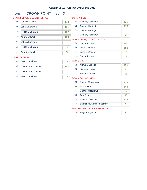# Town: **CROWN POINT** ED: 3

### STATE SUPREME COURT JUSTICE

# 1A: John M Silvestri 113 1B: John A Lahtinen 151 2B: Robert J Chauvin 162 3B: Ann C Crowell 168 1C: John A Lahtinen 19 2C: Robert J Chauvin 17 3C: Ann C Crowell 27 COUNTY CLERK

# 4A: Brent L Vosburg 78 4B: Joseph A Provoncha 193 4C: Joseph A Provoncha 19 4E: Brent L Vosburg 18

#### **SUPERVISOR**

| 5A:   | <b>Bethany Kosmider</b> | 121 |
|-------|-------------------------|-----|
|       | 5B: Charles Harrington  | 179 |
|       | 5G: Charles Harrington  | 16  |
| $5$ : | <b>Bethany Kosmider</b> |     |

#### TOWN CLERK/TAX COLLECTOR

|    | 6A: Judy A Mildon | 107 |
|----|-------------------|-----|
|    | 6B: Linda L Woods | 188 |
|    | 6G: Linda L Woods | 15  |
| 6! | Judy A Mildon     | 19  |

## TOWN JUSTICE

|     | 7B: Arthur S Miclette    |  |
|-----|--------------------------|--|
|     | 7F: Marjorie Hurlburt    |  |
| 7J: | <b>Arthur S Miclette</b> |  |

#### TOWN COUNCILMAN

|     | 8B: Charles Mazurowski            | 178 |
|-----|-----------------------------------|-----|
| 9B: | <b>Tara Peters</b>                | 168 |
|     | 8G: Charles Mazurowski            | 17  |
|     | 9G: Tara Peters                   | 33  |
|     | 8H: Yvonne DuShane                | 134 |
| 9H: | <b>Sherlene E Simpson-Barrows</b> | 76  |

|  | 10B: Eugene Ingleston |  | $\parallel$ 251 |
|--|-----------------------|--|-----------------|
|--|-----------------------|--|-----------------|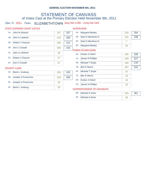# STATEMENT OF CANVASS of Votes Cast at the Primary Election Held November 8th, 2011

# Elec Yr: 2011 Town: ELIZABETHTOWN Assy Dist 113th - Cong Dist 23rd

#### STATE SUPREME COURT JUSTICE

#### SUPERVISOR

| $1A$ : | John M Silvestri        | 167 | 167 | 5A:    | <b>Margaret Bartley</b>    | 229 | 254 |
|--------|-------------------------|-----|-----|--------|----------------------------|-----|-----|
| 1B:    | John A Lahtinen         | 225 | 260 | 5B:    | <b>Noel H Merrihew III</b> | 231 | 238 |
| 2B:    | <b>Robert J Chauvin</b> | 185 | 212 | 5F:    | Noel H Merrihew III        | 7   |     |
| 3B:    | Ann C Crowell           | 206 | 243 | $5G$ : | <b>Margaret Bartley</b>    | 25  |     |
|        |                         |     |     |        | <b>TOWN COUNCILMAN</b>     |     |     |
| $1C$ : | John A Lahtinen         | 35  |     | 6A:    | Evelyn A Hatch             | 190 | 208 |
| 2C:    | Robert J Chauvin        | 27  |     | 7A:    | James N Phillips           | 209 | 227 |
| $3C$ : | Ann C Crowell           | 37  |     | 6B:    | Michael T Doyle            | 160 | 170 |
|        | <b>COUNTY CLERK</b>     |     |     | 7B:    | <b>Ben E Morris</b>        | 297 | 315 |
| 4A:    | <b>Brent L Vosburg</b>  | 205 | 225 | 6F:    | Michael T Doyle            | 10  |     |
|        |                         |     |     |        |                            |     |     |

|     | 4A: Brent L Vosburg    | 205 | 225 |
|-----|------------------------|-----|-----|
| 4B: | Joseph A Provoncha     | 220 | 250 |
|     | 4C: Joseph A Provoncha | 30  |     |
|     | 4E: Brent L Vosburg    |     |     |

|        | 5G: Margaret Bartley             | 25  |     |
|--------|----------------------------------|-----|-----|
|        | <b>OWN COUNCILMAN</b>            |     |     |
| 6A:    | Evelyn A Hatch                   | 190 | 208 |
| 7A:    | James N Phillips                 | 209 | 227 |
| 6B:    | Michael T Doyle                  | 160 | 170 |
| 7B:    | <b>Ben E Morris</b>              | 297 | 315 |
| $6F$ : | Michael T Doyle                  | 10  |     |
| 7F:    | <b>Ben E Morris</b>              | 18  |     |
| 6G:    | Evelyn A Hatch                   | 18  |     |
| $7G$ : | <b>James N Phillips</b>          | 18  |     |
|        | <b>IDERINTENDENT OF HIGHWAVS</b> |     |     |

| 8B: | Michael A Drew | 325 | 361 |
|-----|----------------|-----|-----|
| 8F: | Michael A Drew | ာင  |     |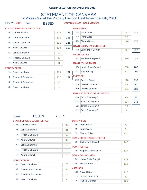# STATEMENT OF CANVASS of Votes Cast at the Primary Election Held November 8th, 2011

Elec Yr: 2011 Town: ESSEX Assy Dist 113th - Cong Dist 23rd

|        |                     | <b>STATE SUPREME COURT JUSTICE</b> |       |         |                   | <b>SUPERVISOR</b>                                         |     |     |
|--------|---------------------|------------------------------------|-------|---------|-------------------|-----------------------------------------------------------|-----|-----|
| $1A$ : |                     | John M Silvestri                   | 138   | 138     | 5B:               | <b>Frank Walls</b>                                        | 132 | 149 |
| 1B:    |                     | John A Lahtinen                    | 135   | 151     | 5F:               | <b>Frank Walls</b>                                        | 17  |     |
| 2B:    |                     | Robert J Chauvin                   | 121   | 141     | $5G$ :            | <b>Sharon Boisen</b>                                      | 176 | 176 |
| 3B:    | Ann C Crowell       |                                    | 139   | 160     |                   | <b>TOWN CLERK/TAX COLLECTOR</b>                           |     |     |
| $1C$ : |                     | <b>John A Lahtinen</b>             |       |         | 6B:               | <b>Catherine A DeWolf</b>                                 | 217 | 217 |
|        |                     |                                    | 16    |         |                   | <b>TOWN JUSTICE</b>                                       |     |     |
| 2C:    |                     | Robert J Chauvin                   | 20    |         | 7B:               | Stephen A Sayward Jr                                      | 219 | 219 |
| $3C$ : | Ann C Crowell       |                                    | 21    |         |                   | <b>TOWN COUNCILMAN</b>                                    |     |     |
|        | <b>COUNTY CLERK</b> |                                    |       |         | 8A:               | <b>Harold T MacDougal</b>                                 | 200 | 200 |
| 4A:    |                     | <b>Brent L Vosburg</b>             | 123   | 137     | 8B:               | <b>Mark Wrisley</b>                                       | 201 | 201 |
| 4B:    |                     | Joseph A Provoncha                 | 137   | 157     | <b>ASSESSOR</b>   |                                                           |     |     |
| $4C$ : |                     | Joseph A Provoncha                 | 20    |         |                   | 10B: David H Sayre                                        | 198 | 198 |
|        |                     |                                    |       |         |                   | 11B: Grace I Drummond                                     | 82  | 82  |
| 4E:    |                     | <b>Brent L Vosburg</b>             | 14    |         |                   | 10H: Patricia Gardner                                     | 181 | 181 |
|        |                     |                                    |       |         |                   | <b>SUPERINTENDENT OF HIGHWAYS</b>                         |     |     |
|        |                     |                                    |       |         |                   | 12A: David J Murcray Jr                                   | 65  | 67  |
|        |                     |                                    |       |         |                   | 12B: James Z Morgan Jr                                    | 224 | 243 |
|        |                     |                                    |       |         | $12$ :            | James Z Morgan Jr                                         | 19  |     |
|        |                     |                                    |       |         | 12J:              | David J Murcray Jr                                        | 2   |     |
|        | Town:               | <b>ESSEX</b>                       | ED: 1 |         |                   |                                                           |     |     |
|        |                     | <b>STATE SUPREME COURT JUSTICE</b> |       |         | <b>SUPERVISOR</b> |                                                           |     |     |
|        | 1A:                 | John M Silvestri                   |       | 93      | 5B:               | <b>Frank Walls</b>                                        | 77  |     |
|        |                     |                                    |       |         | 5F:               | <b>Frank Walls</b>                                        | 9   |     |
|        | 1B:                 | John A Lahtinen                    |       | 81      | 5G:               | Sharon Boisen                                             | 121 |     |
|        | 2B:                 | Robert J Chauvin                   |       | 68      |                   |                                                           |     |     |
|        | 3B:                 | Ann C Crowell                      |       | 83      |                   | <b>TOWN CLERK/TAX COLLECTOR</b><br>6B: Catherine A DeWolf |     |     |
|        | $1C$ :              | John A Lahtinen                    |       | 10      |                   |                                                           | 142 |     |
|        | $2C$ :              | Robert J Chauvin                   |       | 13      |                   | <b>TOWN JUSTICE</b><br>7B: Stephen A Sayward Jr           | 137 |     |
|        | $3C$ :              | Ann C Crowell                      |       | 13      |                   | <b>TOWN COUNCILMAN</b>                                    |     |     |
|        |                     |                                    |       |         | 8A:               | <b>Harold T MacDougal</b>                                 | 134 |     |
|        |                     | <b>COUNTY CLERK</b>                |       |         | 8B:               | <b>Mark Wrisley</b>                                       | 115 |     |
|        | 4A:                 | <b>Brent L Vosburg</b>             |       | 76      |                   |                                                           |     |     |
|        | 4B:                 | Joseph A Provoncha                 |       | 84      | <b>ASSESSOR</b>   | 10B: David H Sayre                                        | 117 |     |
|        | 4C:                 | Joseph A Provoncha                 |       | 15      |                   | 11B: Grace   Drummond                                     |     |     |
|        | 4E:                 | <b>Brent L Vosburg</b>             |       | $\bf 8$ |                   |                                                           | 50  |     |
|        |                     |                                    |       |         |                   | 10H: Patricia Gardner                                     | 126 |     |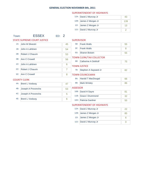#### SUPERINTENDENT OF HIGHWAYS

| 12A: David J Murcray Jr | 43  |
|-------------------------|-----|
| 12B: James Z Morgan Jr  | 139 |
| 12I: James Z Morgan Jr  | 13  |
| 12J: David J Murcray Jr |     |

## Town: **ESSEX** ED: 2

# STATE SUPREME COURT JUSTICE

| <b>STATE SUPREME COURT JUSTICE</b> |                        |    |                   | <b>SUPERVISOR</b> |
|------------------------------------|------------------------|----|-------------------|-------------------|
| $1A$ :                             | John M Silvestri       | 45 | 5B:               | Frank             |
| 1B:                                | John A Lahtinen        | 54 | 5F:               | Frank             |
| 2B:                                | Robert J Chauvin       | 53 | 5G:               | Sharo             |
| 3B:                                | Ann C Crowell          | 56 | <b>TOWN CLERK</b> |                   |
| 1C <sub>i</sub>                    | John A Lahtinen        | 6  | 6B:               | Cather            |
|                                    |                        |    | <b>TOWN JUSTI</b> |                   |
| 2C:                                | Robert J Chauvin       | 7  | 7B:               | <b>Stephe</b>     |
| 3C:                                | <b>Ann C Crowell</b>   | 8  | <b>TOWN COUN</b>  |                   |
|                                    | <b>COUNTY CLERK</b>    |    | 8A:               | Harold            |
| 4A:                                | <b>Brent L Vosburg</b> | 47 | 8B:               | Mark \            |
| 4B:                                | Joseph A Provoncha     | 53 | <b>ASSESSOR</b>   |                   |
| 4C:                                | Joseph A Provoncha     | 5  | $10B$ :           | David             |
|                                    |                        |    | 11B:              | Grace             |

4E: Brent L Vosburg 6

| 5B:      | <b>Frank Walls</b>       | 55 |
|----------|--------------------------|----|
| $5F$ :   | <b>Frank Walls</b>       | 8  |
| $5G$ :   | <b>Sharon Boisen</b>     | 55 |
|          | TOWN CLERK/TAX COLLECTOR |    |
| 6B:      | Catherine A DeWolf       | 75 |
|          | <b>TOWN JUSTICE</b>      |    |
| 7B:      | Stephen A Sayward Jr     | 82 |
|          | TOWN COUNCILMAN          |    |
| 8A:      | Harold T MacDougal       | 66 |
| 8B:      | Mark Wrisley             | 86 |
| ASSESSOR |                          |    |
|          | 10B: David H Sayre       | 81 |
| 11B:     | <b>Grace I Drummond</b>  | 32 |

#### SUPERINTENDENT OF HIGHWAYS

| 12A: David J Murcray Jr | 22 |
|-------------------------|----|
| 12B: James Z Morgan Jr  | 85 |
| 12I: James Z Morgan Jr  |    |
| 12J: David J Murcray Jr |    |

10H: Patricia Gardner 55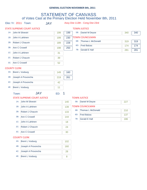# STATEMENT OF CANVASS of Votes Cast at the Primary Election Held November 8th, 2011

Elec Yr: 2011 Town: JAY Assy Dist 113th - Cong Dist 23rd

|        | STATE SUPREME COURT JUSTICE |     |     |     | <b>TOWN JUSTICE</b>    |     |     |
|--------|-----------------------------|-----|-----|-----|------------------------|-----|-----|
| 1A:    | John M Silvestri            | 199 | 199 | 5B: | Daniel M Deyoe         | 340 | 340 |
| 1B:    | John A Lahtinen             | 199 | 230 |     | <b>TOWN COUNCILMAN</b> |     |     |
| 2B:    | Robert J Chauvin            | 189 | 228 | 6B: | Thomas L McDonald      | 319 | 319 |
| 3B:    | Ann C Crowell               | 198 | 250 | 6D: | <b>Fred Balzac</b>     | 174 | 174 |
|        |                             |     |     | 7B: | <b>Gerald E Hall</b>   | 281 | 281 |
| $1C$ : | John A Lahtinen             | 31  |     |     |                        |     |     |
| $2C$ : | Robert J Chauvin            | 39  |     |     |                        |     |     |

#### COUNTY CLERK

|     | 4A: Brent L Vosburg | 149 | 160 |
|-----|---------------------|-----|-----|
| 4B: | Joseph A Provoncha  | 219 | 261 |
| 4C: | Joseph A Provoncha  | 42  |     |
|     | 4E: Brent L Vosburg |     |     |

3C: Ann C Crowell 52

### Town: **JAY** ED: 1

1A: John M Silvestri 140

1B: John A Lahtinen 139

2B: Robert J Chauvin 133

3B: Ann C Crowell 28 144

1C: John A Lahtinen 18

2C: Robert J Chauvin 24

3C: Ann C Crowell 30

#### STATE SUPREME COURT JUSTICE

#### TOWN JUSTICE

| 5B: Daniel M Deyoe | 227 |
|--------------------|-----|
| TOWN COUNCILMAN    |     |

| 6B: Thomas L McDonald |
|-----------------------|
|                       |

| 6D: Fred Balzac   |  |
|-------------------|--|
| 7B: Gerald E Hall |  |

 $\sqrt{210}$ 

#### COUNTY CLERK

| 4A: Brent L Vosburg    | 102 |
|------------------------|-----|
| 4B: Joseph A Provoncha | 160 |
| 4C: Joseph A Provoncha | 28  |
| 4E: Brent L Vosburg    |     |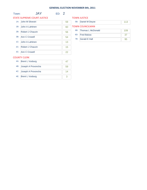|        |                                    |       |    |     | <b>GENERAL ELECTION NOVEMBER 8th, 2011</b> |     |
|--------|------------------------------------|-------|----|-----|--------------------------------------------|-----|
| Town:  | <b>JAY</b>                         | ED: 2 |    |     |                                            |     |
|        | <b>STATE SUPREME COURT JUSTICE</b> |       |    |     | <b>TOWN JUSTICE</b>                        |     |
|        | 1A: John M Silvestri               |       | 59 |     | 5B: Daniel M Deyoe                         | 113 |
| 1B:    | John A Lahtinen                    |       | 60 |     | <b>TOWN COUNCILMAN</b>                     |     |
| 2B:    | Robert J Chauvin                   |       | 56 | 6B: | Thomas L McDonald                          | 109 |
| 3B:    | Ann C Crowell                      |       | 54 |     | 6D: Fred Balzac                            | 37  |
|        |                                    |       |    | 7B: | <b>Gerald E Hall</b>                       | 95  |
| $1C$ : | John A Lahtinen                    |       | 13 |     |                                            |     |
| $2C$ : | Robert J Chauvin                   |       | 15 |     |                                            |     |
| $3C$ : | Ann C Crowell                      |       | 22 |     |                                            |     |
|        | <b>COUNTY CLERK</b>                |       |    |     |                                            |     |
| 4A:    | <b>Brent L Vosburg</b>             |       | 47 |     |                                            |     |

| $4A.$ Dielit L vosburg |    |
|------------------------|----|
| 4B: Joseph A Provoncha | 59 |
| 4C: Joseph A Provoncha |    |
| 4E: Brent L Vosburg    |    |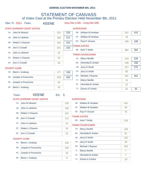# STATEMENT OF CANVASS of Votes Cast at the Primary Election Held November 8th, 2011

Elec Yr: 2011 Town: KEENE Assy Dist 113th - Cong Dist 20th

|        | STATE SUPREME COURT JUSTICE |     |     | <b>SUPERVISOR</b> |                                         |            |     |
|--------|-----------------------------|-----|-----|-------------------|-----------------------------------------|------------|-----|
| 1A:    | John M Silvestri            | 225 | 225 | 5B:               | <b>William B Ferebee</b>                | 332        | 410 |
| 1B:    | John A Lahtinen             | 188 | 211 | 5F:               | <b>William B Ferebee</b>                | 78         |     |
| 2B:    | Robert J Chauvin            | 193 | 222 | $5G$ :            | <b>Paul F Vincent</b>                   | 108        | 108 |
| 3B:    | Ann C Crowell               | 201 | 234 |                   | <b>FOWN JUSTICE</b>                     |            |     |
| $1C$ : | John A Lahtinen             | 23  |     | 6B:               | <b>Kent T Wells</b>                     | 384        | 384 |
|        |                             |     |     |                   | <b>TOWN COUNCILMAN</b>                  |            |     |
| $2C$ : | Robert J Chauvin            | 29  |     | 7A:               | <b>Marcy Neville</b>                    | 216        | 229 |
| $3C$ : | Ann C Crowell               | 33  |     | 8A:               | Henrietta B Jordan                      | 146        | 158 |
|        | <b>COUNTY CLERK</b>         |     |     | 7B:               | Jerry D Smith                           | 217        | 275 |
|        |                             |     |     |                   | $711.$ $12.22.$ $R_2$ $R_3$ $R_4$ $R_5$ | $\sqrt{2}$ |     |

|     | 4A: Brent L Vosburg    | 177 | 193 |
|-----|------------------------|-----|-----|
| 4B: | Joseph A Provoncha     | 228 | 262 |
|     | 4C: Joseph A Provoncha | 34  |     |
|     | 4E: Brent L Vosburg    | 16  |     |

| 6B:   | <b>Kent T Wells</b>  | 384 | 384 |
|-------|----------------------|-----|-----|
|       | <b>WN COUNCILMAN</b> |     |     |
| 7A:   | <b>Marcy Neville</b> | 216 | 229 |
| 8A:   | Henrietta B Jordan   | 146 | 158 |
| 7B:   | Jerry D Smith        | 217 | 275 |
| 7H:   | Jerry D Smith        | 58  |     |
| 8H:   | Michael J Buysse     | 281 | 281 |
| 7!    | <b>Marcy Neville</b> | 13  |     |
| $8$ : | Henrietta B Jordan   | 12  |     |
| 7J:   | Donna A Combs        | 32  | 32  |

Town: KEENE ED: 1

#### STATE SUPREME COURT JUSTICE

# **SUPERVISOR**

| $1A$ : | John M Silvestri       | 120 | 5B:    | <b>William B Ferebee</b> | 191            |
|--------|------------------------|-----|--------|--------------------------|----------------|
| 1B:    | John A Lahtinen        | 106 | 5F:    | <b>William B Ferebee</b> | 40             |
| 2B:    | Robert J Chauvin       | 101 | $5G$ : | <b>Paul F Vincent</b>    | 75             |
|        |                        |     |        | <b>TOWN JUSTICE</b>      |                |
| 3B:    | Ann C Crowell          | 112 |        |                          |                |
|        |                        |     | 6B:    | Kent T Wells             | 218            |
| 1C:    | John A Lahtinen        | 14  |        | <b>TOWN COUNCILMAN</b>   |                |
| 2C:    | Robert J Chauvin       |     |        |                          |                |
|        |                        | 16  | 7A:    | <b>Marcy Neville</b>     | 128            |
| $3C$ : | Ann C Crowell          | 15  | 8A:    | Henrietta B Jordan       | 91             |
|        | <b>COUNTY CLERK</b>    |     | 7B:    | Jerry D Smith            | 125            |
| 4A:    | <b>Brent L Vosburg</b> | 100 | 7H:    | Jerry D Smith            | 30             |
|        |                        |     | 8H:    | Michael J Buysse         | 164            |
| 4B:    | Joseph A Provoncha     | 136 |        |                          |                |
|        |                        |     | 7!     | <b>Marcy Neville</b>     | $\overline{7}$ |
| $4C$ : | Joseph A Provoncha     | 18  |        |                          |                |
|        |                        |     | 81:    | Henrietta B Jordan       | 7              |
| 4E:    | <b>Brent L Vosburg</b> | 9   | 7J:    | Donna A Combs            | 19             |
|        |                        |     |        |                          |                |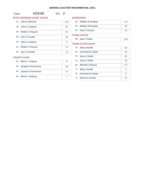#### Town: **KEENE** ED: 2 **SUPERVISOR** 5B: William B Ferebee 141 5F: William B Ferebee 38 6B: Kent T Wells 166 7A: Marcy Neville 88 8A: Henrietta B Jordan 55 7B: Jerry D Smith 92 TOWN JUSTICE TOWN COUNCILMAN STATE SUPREME COURT JUSTICE 1A: John M Silvestri 105 1B: John A Lahtinen 82 2B: Robert J Chauvin 92 3B: Ann C Crowell 89 1C: John A Lahtinen 9 2C: Robert J Chauvin 13 3C: Ann C Crowell 18 COUNTY CLERK 4A: Brent L Vosburg 77 4B: Joseph A Provoncha 92 4C: Joseph A Provoncha 16 4E: Brent L Vosburg 7 5G: Paul F Vincent 33 7H: Jerry D Smith 28 8H: Michael J Buysse 117 71: Marcy Neville 6 8I: Henrietta B Jordan 5 7J: Donna A Combs 13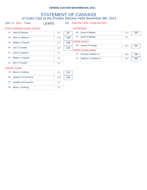# STATEMENT OF CANVASS of Votes Cast at the Primary Election Held November 8th, 2011

Elec Yr: 2011 Town: LEWIS ED: Assy Dist 113th - Cong Dist 23rd

|                 | STATE SUPREME COURT JUSTICE |     |     | <b>SUPERVISOR</b> |                                               |            |            |
|-----------------|-----------------------------|-----|-----|-------------------|-----------------------------------------------|------------|------------|
| 1A:             | John M Silvestri            | 81  | 81  | 5B:               | David H Blades                                | 212        | 228        |
| 1B:             | John A Lahtinen             | 138 | 156 | 5F:               | David H Blades                                | 16         |            |
| 2B:             | Robert J Chauvin            | 117 | 139 |                   | TOWN JUSTICE                                  |            |            |
| 3B:             | Ann C Crowell               | 137 | 162 | 6B:               | James P Pulsifer                              | 222        | 222        |
| 1C <sub>i</sub> | John A Lahtinen             | 18  |     | 7A:               | <b>TOWN COUNCILMAN</b><br>Charles H Martin Jr |            |            |
| $2C$ :          | Robert J Chauvin            | 22  |     | 7B:               | Stephen C Denton Jr                           | 190<br>193 | 190<br>193 |
| $3C$ :          | Ann C Crowell               | 25  |     |                   |                                               |            |            |

#### COUNTY CLERK

|     | 4A: Brent L Vosburg    |     | 101 |
|-----|------------------------|-----|-----|
| 4B: | Joseph A Provoncha     | 145 | 164 |
|     | 4C: Joseph A Provoncha | 19  |     |
|     | 4E: Brent L Vosburg    |     |     |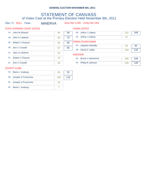# STATEMENT OF CANVASS of Votes Cast at the Primary Election Held November 8th, 2011

Elec Yr: 2011 Town: MINERVA Assy Dist 113th - Cong Dist 23rd

| STATE SUPREME COURT JUSTICE |                                                                       |          |        |                         |                                                                  |     |
|-----------------------------|-----------------------------------------------------------------------|----------|--------|-------------------------|------------------------------------------------------------------|-----|
|                             | 94                                                                    | 94       | 5B:    | <b>Arthur J Liberty</b> | 132                                                              | 169 |
| John A Lahtinen             | 59                                                                    | 75       | $5G$ : | <b>Arthur J Liberty</b> | 37                                                               |     |
| Robert J Chauvin            | 56                                                                    | 69       |        |                         |                                                                  |     |
|                             |                                                                       |          | 6A:    | <b>Stephen McNally</b>  | 83                                                               | 83  |
|                             |                                                                       |          | 6B:    | David C LaBar           | 129                                                              | 129 |
|                             |                                                                       |          |        |                         |                                                                  |     |
| Robert J Chauvin            | 13                                                                    |          | 8F:    | <b>Bruce L Hammond</b>  | 106                                                              | 106 |
|                             | 18                                                                    |          | 9F:    | Philip R Johnson        | 128                                                              | 128 |
|                             | John M Silvestri<br>Ann C Crowell<br>John A Lahtinen<br>Ann C Crowell | 67<br>16 | 85     |                         | <b>TOWN JUSTICE</b><br><b>TOWN COUNCILMAN</b><br><b>ASSESSOR</b> |     |

#### COUNTY CLERK

|     | 4A: Brent L Vosburg    | 45  | 52  |
|-----|------------------------|-----|-----|
| 4B: | Joseph A Provoncha     | 100 | 116 |
|     | 4C: Joseph A Provoncha | 16  |     |
|     | 4E: Brent L Vosburg    |     |     |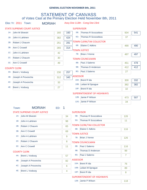# STATEMENT OF CANVASS of Votes Cast at the Primary Election Held November 8th, 2011

| Elec Yr: 2011 |  |  | Tow |
|---------------|--|--|-----|
|---------------|--|--|-----|

vn: MORIAH Assy Dist 113th - Cong Dist 23rd

|        | STATE SUPREME COURT JUSTICE |     |     | <b>SUPERVISOR</b> |                                   |     |     |
|--------|-----------------------------|-----|-----|-------------------|-----------------------------------|-----|-----|
|        | 1A: John M Silvestri        | 160 | 160 | 5B:               | Thomas R Scozzafava               | 504 | 541 |
| 1B:    | John A Lahtinen             | 382 | 424 | $5G$ :            | Thomas R Scozzafava               | 37  |     |
| 2B:    | Robert J Chauvin            | 251 | 281 |                   | <b>TOWN CLERK/TAX COLLECTOR</b>   |     |     |
| 3B:    | Ann C Crowell               | 265 | 314 | 6B:               | Elaine C Adkins                   | 490 | 490 |
|        |                             |     |     |                   | <b>TOWN JUSTICE</b>               |     |     |
| $1C$ : | John A Lahtinen             | 42  |     | 7B:               | <b>Brian J Venne</b>              | 497 | 497 |
| $2C$ : | Robert J Chauvin            | 30  |     |                   | <b>TOWN COUNCILMAN</b>            |     |     |
| $3C$ : | Ann C Crowell               | 49  |     | 8B:               | Paul J Salerno                    | 451 | 478 |
|        | <b>COUNTY CLERK</b>         |     |     | 9B:               | Thomas D Anderson                 | 412 | 412 |
| 4A:    | <b>Brent L Vosburg</b>      | 230 | 257 | $8G$ :            | Paul J Salerno                    | 27  |     |
| 4B:    | Joseph A Provoncha          | 312 | 345 | <b>ASSESSOR</b>   |                                   |     |     |
| $4C$ : | Joseph A Provoncha          | 33  |     |                   | 10A: Brent R Ida                  | 300 | 332 |
|        |                             |     |     |                   | 10B: Leilani M Sprague            | 382 | 382 |
| 4E:    | <b>Brent L Vosburg</b>      | 27  |     | $10F$ :           | Brent R Ida                       | 32  |     |
|        |                             |     |     |                   | <b>SUPERINTENDENT OF HIGHWAYS</b> |     |     |
|        |                             |     |     |                   | 12B: Jamie P Wilson               | 473 | 507 |
|        |                             |     |     | $12G$ :           | Jamie P Wilson                    | 34  |     |

#### Town: MORIAH ED: 1

#### STATE SUPREME COURT JUSTICE

SUPERVISOR

| $1A$ : | John M Silvestri        | 34 | 5B:             | Thomas R Scozzafava               | 126 |
|--------|-------------------------|----|-----------------|-----------------------------------|-----|
| 1B:    | John A Lahtinen         | 98 | 5G:             | Thomas R Scozzafava               | 11  |
| 2B:    | Robert J Chauvin        | 65 |                 | <b>TOWN CLERK/TAX COLLECTOR</b>   |     |
| 3B:    | Ann C Crowell           | 69 | 6B:             | Elaine C Adkins                   | 116 |
|        |                         |    |                 | <b>TOWN JUSTICE</b>               |     |
| 1C:    | John A Lahtinen         | 9  | 7B:             | <b>Brian J Venne</b>              | 126 |
| $2C$ : | <b>Robert J Chauvin</b> | 8  |                 | <b>TOWN COUNCILMAN</b>            |     |
| $3C$ : | Ann C Crowell           | 11 | 8B:             | Paul J Salerno                    | 116 |
|        | <b>COUNTY CLERK</b>     |    | 9B:             | Thomas D Anderson                 | 99  |
| 4A:    | <b>Brent L Vosburg</b>  | 57 | 8G:             | Paul J Salerno                    | 7   |
| 4B:    | Joseph A Provoncha      | 82 | <b>ASSESSOR</b> |                                   |     |
|        |                         |    |                 | 10A: Brent R Ida                  | 76  |
| $4C$ : | Joseph A Provoncha      | 6  |                 | 10B: Leilani M Sprague            | 89  |
| 4E:    | <b>Brent L Vosburg</b>  | 4  |                 | 10F: Brent R Ida                  | 8   |
|        |                         |    |                 | <b>SUPERINTENDENT OF HIGHWAYS</b> |     |
|        |                         |    |                 |                                   |     |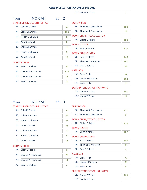12G: Jamie P Wilson 7

| Town:  | <b>MORIAH</b><br>ED: 2             |     |                                                            |
|--------|------------------------------------|-----|------------------------------------------------------------|
|        | <b>STATE SUPREME COURT JUSTICE</b> |     | <b>SUPERVISOR</b>                                          |
| $1A$ : | John M Silvestri                   | 60  | 5B:<br>Thomas R Scozzafava<br>180                          |
| 1B:    | John A Lahtinen                    | 136 | Thomas R Scozzafava<br>5G:<br>14                           |
| 2B:    | Robert J Chauvin                   | 93  | <b>TOWN CLERK/TAX COLLECTOR</b>                            |
| 3B:    | Ann C Crowell                      | 98  | Elaine C Adkins<br>6B:<br>180                              |
| $1C$ : | John A Lahtinen                    | 12  | <b>TOWN JUSTICE</b>                                        |
| 2C:    | Robert J Chauvin                   | 8   | 7B:<br><b>Brian J Venne</b><br>178                         |
| 3C:    | Ann C Crowell                      | 14  | <b>TOWN COUNCILMAN</b><br>Paul J Salerno<br>8B:<br>148     |
|        |                                    |     | Thomas D Anderson<br>9B:<br>157                            |
|        | <b>COUNTY CLERK</b>                |     | 8G: Paul J Salerno<br>13                                   |
| 4A:    | <b>Brent L Vosburg</b>             | 84  |                                                            |
| 4B:    | Joseph A Provoncha                 | 110 | <b>ASSESSOR</b>                                            |
| $4C$ : | Joseph A Provoncha                 | 11  | 10A: Brent R Ida<br>91                                     |
| 4E:    | <b>Brent L Vosburg</b>             | 14  | 10B: Leilani M Sprague<br>152<br>10F: Brent R Ida<br>10    |
|        |                                    |     | <b>SUPERINTENDENT OF HIGHWAYS</b>                          |
|        |                                    |     | 12B: Jamie P Wilson<br>167                                 |
|        |                                    |     | 12G: Jamie P Wilson<br>17                                  |
|        |                                    |     |                                                            |
| Town:  | <b>MORIAH</b><br>ED: 3             |     |                                                            |
|        | <b>STATE SUPREME COURT JUSTICE</b> |     | <b>SUPERVISOR</b>                                          |
| $1A$ : | John M Silvestri                   | 34  | Thomas R Scozzafava<br>5B:<br>111                          |
| 1B:    | John A Lahtinen                    | 82  | Thomas R Scozzafava<br>5G:<br>9                            |
| 2B:    | Robert J Chauvin                   | 48  | <b>TOWN CLERK/TAX COLLECTOR</b>                            |
| 3B:    | <b>Ann C Crowell</b>               | 56  | 6B: Elaine C Adkins<br>110                                 |
| $1C$ : | John A Lahtinen                    | 10  | <b>TOWN JUSTICE</b>                                        |
| 2C:    | Robert J Chauvin                   |     | 7B:<br><b>Brian J Venne</b><br>107                         |
|        |                                    | 8   | <b>TOWN COUNCILMAN</b>                                     |
| 3C:    | Ann C Crowell                      | 11  | 8B:<br>Paul J Salerno<br>100                               |
|        |                                    |     | Thomas D Anderson<br>9B:<br>82                             |
| 4A:    | <b>COUNTY CLERK</b>                |     |                                                            |
|        | <b>Brent L Vosburg</b>             | 45  | 8G:<br>Paul J Salerno<br>4                                 |
| 4B:    | Joseph A Provoncha                 | 72  | <b>ASSESSOR</b>                                            |
| 4C:    | Joseph A Provoncha                 | 11  | 10A: Brent R Ida<br>72                                     |
| 4E:    |                                    |     | 10B: Leilani M Sprague<br>83                               |
|        | <b>Brent L Vosburg</b>             | 4   | 10F: Brent R Ida<br>9<br><b>SUPERINTENDENT OF HIGHWAYS</b> |

12B: Jamie P Wilson 103 12G: Jamie P Wilson 7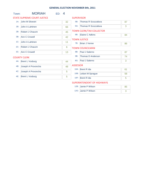| Town:  | <b>MORIAH</b>                      | ED: | $\overline{4}$ |                   |                                   |    |
|--------|------------------------------------|-----|----------------|-------------------|-----------------------------------|----|
|        | <b>STATE SUPREME COURT JUSTICE</b> |     |                | <b>SUPERVISOR</b> |                                   |    |
| $1A$ : | John M Silvestri                   |     | 32             | 5B:               | Thomas R Scozzafava               | 87 |
| 1B:    | John A Lahtinen                    |     | 66             | $5G$ :            | Thomas R Scozzafava               | 3  |
| 2B:    | <b>Robert J Chauvin</b>            |     | 45             |                   | <b>TOWN CLERK/TAX COLLECTOR</b>   |    |
| 3B:    | <b>Ann C Crowell</b>               |     | 42             | 6B:               | Elaine C Adkins                   | 84 |
|        |                                    |     |                |                   | <b>TOWN JUSTICE</b>               |    |
| $1C$ : | John A Lahtinen                    |     | 11             | 7B:               | <b>Brian J Venne</b>              | 86 |
| 2C:    | Robert J Chauvin                   |     | 6              |                   | <b>TOWN COUNCILMAN</b>            |    |
| 3C:    | <b>Ann C Crowell</b>               |     | 13             | 8B:               | Paul J Salerno                    | 87 |
|        | <b>COUNTY CLERK</b>                |     |                | 9B:               | Thomas D Anderson                 | 74 |
| 4A:    | <b>Brent L Vosburg</b>             |     | 44             | 8G:               | Paul J Salerno                    | 3  |
| 4B:    | Joseph A Provoncha                 |     | 48             | <b>ASSESSOR</b>   |                                   |    |
| 4C:    |                                    |     |                |                   | 10A: Brent R Ida                  | 61 |
|        | Joseph A Provoncha                 |     | 5              |                   | 10B: Leilani M Sprague            | 58 |
| $4E$ : | <b>Brent L Vosburg</b>             |     | 5              | $10F$ :           | <b>Brent R Ida</b>                | 5  |
|        |                                    |     |                |                   | <b>SUPERINTENDENT OF HIGHWAYS</b> |    |
|        |                                    |     |                |                   | 12B: Jamie P Wilson               | 85 |

12G: Jamie P Wilson 3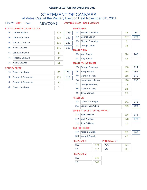# STATEMENT OF CANVASS of Votes Cast at the Primary Election Held November 8th, 2011

|        | <b>STATE SUPREME COURT JUSTICE</b> |     |     | <b>SUPERVISOR</b> |              |
|--------|------------------------------------|-----|-----|-------------------|--------------|
| 1A:    | John M Silvestri                   | 123 | 123 | 5A:               | Eleand       |
| 1B:    | John A Lahtinen                    | 120 | 160 | 5B:               | Georg        |
| 2B:    | Robert J Chauvin                   | 136 | 180 | $5F$ :            | Eleand       |
| 3B:    | Ann C Crowell                      | 141 | 192 | 5H:               | Georg        |
| $1C$ : | John A Lahtinen                    | 40  |     |                   | <b>CLERK</b> |
|        |                                    |     |     | 6B:               | Mary F       |
| 2C:    | Robert J Chauvin                   | 44  |     | 6H:               | Mary F       |
| 3C:    | Ann C Crowell                      | 51  |     | <b>TOWN COUN</b>  |              |
|        |                                    |     |     |                   |              |

|     | 5A: Eleanor P Yandon     | 46                   | 54  |
|-----|--------------------------|----------------------|-----|
| 5B: | George Canon             | 237                  | 270 |
|     | 5F: Eleanor P Yandon     | 8                    |     |
| 5H: | George Canon             | 33                   |     |
|     | <b>WN CLERK</b>          |                      |     |
| 6B: | <b>Mary Pound</b>        | 224                  | 266 |
| 6H: | <b>Mary Pound</b>        | 42                   |     |
|     | <b>WN COUNCILMAN</b>     |                      |     |
|     | $\overline{\phantom{a}}$ | $\sim$ $\sim$ $\sim$ | .   |

#### COUNTY CLERK

|     | 4A: Brent L Vosburg    | 55  | 62  |
|-----|------------------------|-----|-----|
| 4B: | Joseph A Provoncha     | 170 | 215 |
|     | 4C: Joseph A Provoncha | 45  |     |
|     | 4E: Brent L Vosburg    |     |     |

| 6H:   | <b>Mary Pound</b>      | 42  |     |
|-------|------------------------|-----|-----|
|       | TOWN COUNCILMAN        |     |     |
| 7A:   | <b>George Fennessy</b> | 100 | 114 |
| 8A:   | <b>Joseph Novak</b>    | 138 | 163 |
| 8B:   | Michael J Tracy        | 116 | 140 |
| 7G: 1 | Kenneth A Helms Jr     | 196 | 196 |
| 7H:   | George Fennessy        | 14  |     |
| 8H:   | Michael J Tracy        | 24  |     |
| $8$ : | <b>Joseph Novak</b>    | 25  |     |
|       |                        |     |     |

#### ASSESSOR

| 9A: Lowell W Stringer | 241 | 241 |
|-----------------------|-----|-----|
| 10A: Edna M VanAuken  | 229 | 229 |

#### SUPERINTENDENT OF HIGHWAYS

| 11A: John D Helms | 136 | 146 |
|-------------------|-----|-----|
| 11H: Mark Yandon  | 178 | 178 |
| 11J: John D Helms |     |     |

#### TAX COLLECTOR

| 12B: Karen L Darrah | 201 | 248 |
|---------------------|-----|-----|
| 12H: Karen L Darrah |     |     |

NO

#### PROPOSAL-1

| <b>YES</b> |  |
|------------|--|
| NΟ         |  |

#### 174 PROPOSAL-3 YES

111

#### PROPOSAL-2

| <b>YES</b> |  |
|------------|--|
| <b>NO</b>  |  |

Elec Yr: 2011 Town: NEWCOMB Assy Dist 113th - Cong Dist 23rd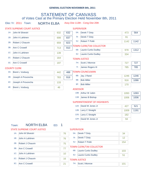# STATEMENT OF CANVASS of Votes Cast at the Primary Election Held November 8th, 2011

Elec Yr: 2011 Town: NORTH ELBA Assy Dist 113th - Cong Dist 20th

|        | STATE SUPREME COURT JUSTICE        |                       |     | <b>SUPERVISOR</b> |                                   |      |      |
|--------|------------------------------------|-----------------------|-----|-------------------|-----------------------------------|------|------|
|        | 1A: John M Silvestri               | 632                   | 632 | 5A:               | Derek T Doty                      | 473  | 564  |
| 1B:    | John A Lahtinen                    | 698                   | 837 | 5l:               | Derek T Doty                      | 91   |      |
| 2B:    | Robert J Chauvin                   | 659                   | 823 | 5J:               | Robert T Politi                   | 1142 | 1142 |
| 3B:    | Ann C Crowell                      | 713                   | 910 |                   | <b>TOWN CLERK/TAX COLLECTOR</b>   |      |      |
|        |                                    |                       |     |                   | 6B: Laurie Curtis Dudley          | 978  | 1312 |
| $1C$ : | John A Lahtinen                    | 139                   |     | 6J:               | <b>Laurie Curtis Dudley</b>       | 334  |      |
| 2C:    | Robert J Chauvin                   | 164                   |     |                   | <b>TOWN JUSTICE</b>               |      |      |
| $3C$ : | Ann C Crowell                      | 197                   |     |                   | 7H: Scott J Monroe                | 727  | 727  |
|        | <b>COUNTY CLERK</b>                |                       |     | 7!                | James Rogers III                  | 785  | 785  |
| 4A:    | <b>Brent L Vosburg</b>             | 442                   | 488 |                   | <b>TOWN COUNCILMAN</b>            |      |      |
| 4B:    | Joseph A Provoncha                 | 783                   | 916 | 8B:               | Jay J Rand                        | 1246 | 1246 |
| 4C:    | Joseph A Provoncha                 | 133                   |     | 9B:               | <b>Bob Miller</b>                 | 916  | 1086 |
|        |                                    |                       |     | 9F:               | <b>Bob Miller</b>                 | 170  |      |
| 4E:    | <b>Brent L Vosburg</b>             | 46                    |     | <b>ASSESSOR</b>   |                                   |      |      |
|        |                                    |                       |     |                   | 10B: Arthur W Jubin               | 1093 | 1093 |
|        |                                    |                       |     |                   | 11B: James B Bishop               | 1006 | 1006 |
|        |                                    |                       |     |                   | <b>SUPERINTENDENT OF HIGHWAYS</b> |      |      |
|        |                                    |                       |     |                   | 12A: David W Jones Jr             | 427  | 521  |
|        |                                    |                       |     |                   | 12B: Larry C Straight             | 1009 | 1191 |
|        |                                    |                       |     |                   | 12G: Larry C Straight             | 182  |      |
|        |                                    |                       |     |                   | 12H: David W Jones Jr             | 94   |      |
|        | <b>NORTH ELBA</b><br>Town:         | $\overline{1}$<br>ED: |     |                   |                                   |      |      |
|        | <b>STATE SUPREME COURT JUSTICE</b> |                       |     | <b>SUPERVISOR</b> |                                   |      |      |
|        |                                    |                       |     |                   |                                   |      |      |

|  | <b>SUPERVISO</b> |  |
|--|------------------|--|
|  |                  |  |

| $1A$ : | John M Silvestri | 76 | 5A: | Derek T Doty                    | 34  |
|--------|------------------|----|-----|---------------------------------|-----|
| 1B:    | John A Lahtinen  | 76 | 5l: | Derek T Doty                    | 12  |
| 2B:    | Robert J Chauvin | 75 | 5J: | Robert T Politi                 | 154 |
|        |                  |    |     | <b>TOWN CLERK/TAX COLLECTOR</b> |     |
| 3B:    | Ann C Crowell    | 77 | 6B: | Laurie Curtis Dudley            | 103 |
| $1C$ : | John A Lahtinen  | 10 |     |                                 |     |
|        |                  |    | 6J: | Laurie Curtis Dudley            | 51  |
| 2C:    | Robert J Chauvin | 16 |     | <b>TOWN JUSTICE</b>             |     |
| $3C$ : | Ann C Crowell    | 21 | 7H: | Scott J Monroe                  | 101 |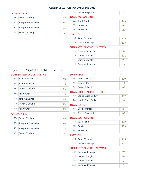#### COUNTY CLERK

- 
- 4A: Brent L Vosburg 46
- 4B: Joseph A Provoncha 91 4C: Joseph A Provoncha 10 4E: Brent L Vosburg 8

## TOWN COUNCILMAN

| J VV I V COOIVCILIVIAIV |     |
|-------------------------|-----|
| 8B: Jay J Rand          | 149 |
| 9B: Bob Miller          | 96  |
| 9F: Bob Miller          | 22  |

7I: James Rogers III 86

#### ASSESSOR

| 10B: Arthur W Jubin | $129 -$ |
|---------------------|---------|
| 11B: James B Bishop | 108     |

#### SUPERINTENDENT OF HIGHWAYS

| 12A: David W Jones Jr | 51  |
|-----------------------|-----|
| 12B: Larry C Straight | 111 |
| 12G: Larry C Straight | 27  |
| 12H: David W Jones Jr | 12  |

# Town: NORTH ELBA ED: 2

#### STATE SUPREME COURT JUSTICE

#### SUPERVISOR

| $1A$ : | John M Silvestri        | 93 | 5A:             | Derek T Doty                                               | 110       |
|--------|-------------------------|----|-----------------|------------------------------------------------------------|-----------|
| 1B:    | John A Lahtinen         | 78 | $5$ :           | Derek T Doty                                               | 14        |
| 2B:    | <b>Robert J Chauvin</b> | 68 | 5J:             | <b>Robert T Politi</b>                                     | 63        |
| 3B:    | <b>Ann C Crowell</b>    | 79 | 6B:             | <b>TOWN CLERK/TAX COLLECTOR</b>                            |           |
| 1C:    | John A Lahtinen         | 18 | 6J:             | <b>Laurie Curtis Dudley</b><br><b>Laurie Curtis Dudley</b> | 102<br>32 |
| $2C$ : | Robert J Chauvin        | 25 |                 | <b>TOWN JUSTICE</b>                                        |           |
| $3C$ : | Ann C Crowell           | 29 | 7H:             | Scott J Monroe                                             | 63        |
|        | <b>COUNTY CLERK</b>     |    | 7!              | James Rogers III                                           | 82        |
| 4A:    | <b>Brent L Vosburg</b>  | 83 |                 | <b>TOWN COUNCILMAN</b>                                     |           |
| 4B:    | Joseph A Provoncha      | 62 | 8B:             | Jay J Rand                                                 | 122       |
| 4C:    | Joseph A Provoncha      | 12 | 9B:             | <b>Bob Miller</b>                                          | 103       |
| 4E:    | <b>Brent L Vosburg</b>  | 8  | 9F:             | <b>Bob Miller</b>                                          | 20        |
|        |                         |    | <b>ASSESSOR</b> |                                                            |           |
|        |                         |    |                 | 10B: Arthur W Jubin                                        | 115       |
|        |                         |    |                 | 11B: James B Bishop                                        | 134       |
|        |                         |    |                 | <b>SUPERINTENDENT OF HIGHWAYS</b>                          |           |
|        |                         |    |                 |                                                            |           |

| 12A: David W Jones Jr |  |
|-----------------------|--|
| 12B: Larry C Straight |  |
| 12G: Larry C Straight |  |
| 12H: David W Jones Jr |  |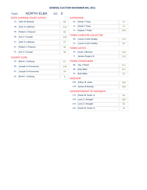## Town: **NORTH ELBA** ED: 3

|        | <b>STATE SUPREME COURT JUSTICE</b> |     | <b>SUPERVISOR</b> |                                 |     |
|--------|------------------------------------|-----|-------------------|---------------------------------|-----|
| $1A$ : | John M Silvestri                   | 86  | 5A:               | Derek T Doty                    | 72  |
| 1B:    | John A Lahtinen                    | 119 | 5l:               | Derek T Doty                    | 14  |
| 2B:    | <b>Robert J Chauvin</b>            | 99  | 5J:               | <b>Robert T Politi</b>          | 209 |
| 3B:    | Ann C Crowell                      | 108 |                   | <b>TOWN CLERK/TAX COLLECTOR</b> |     |
|        |                                    |     | 6B:               | <b>Laurie Curtis Dudley</b>     | 175 |
| $1C$ : | John A Lahtinen                    | 22  | 6J:               | <b>Laurie Curtis Dudley</b>     | 59  |
| $2C$ : | Robert J Chauvin                   | 36  |                   | <b>TOWN JUSTICE</b>             |     |
| $3C$ : | Ann C Crowell                      | 38  | 7H:               | Scott J Monroe                  | 158 |
|        | <b>COUNTY CLERK</b>                |     | 7!                | James Rogers III                | 123 |
| 4A:    | <b>Brent L Vosburg</b>             | 57  |                   | <b>TOWN COUNCILMAN</b>          |     |
| 4B:    | Joseph A Provoncha                 | 139 | 8B:               | Jay J Rand                      | 211 |
|        |                                    |     | 9B:               | <b>Bob Miller</b>               | 151 |
| 4C:    | Joseph A Provoncha                 | 26  | 9F:               | <b>Bob Miller</b>               | 22  |
| 4E:    | <b>Brent L Vosburg</b>             | 6   | <b>ASSESSOR</b>   |                                 |     |
|        |                                    |     |                   | 10B: Arthur W Jubin             | 180 |
|        |                                    |     |                   | 11B: James B Bishop             | 160 |

| 12A: David W Jones Jr | 66  |
|-----------------------|-----|
| 12B: Larry C Straight | 180 |
| 12G: Larry C Straight | 35  |
| 12H: David W Jones Jr | 16  |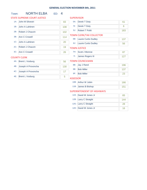# Town: **NORTH ELBA** ED: 4

|        | <b>STATE SUPREME COURT JUSTICE</b> |     | <b>SUPERVISOR</b> |                                 |     |
|--------|------------------------------------|-----|-------------------|---------------------------------|-----|
| $1A$ : | John M Silvestri                   | 83  | 5A:               | Derek T Doty                    | 61  |
| 1B:    | John A Lahtinen                    | 108 | $5!$ :            | Derek T Doty                    | 6   |
| 2B:    | Robert J Chauvin                   | 102 | 5J:               | <b>Robert T Politi</b>          | 183 |
| 3B:    | Ann C Crowell                      | 114 |                   | <b>TOWN CLERK/TAX COLLECTOR</b> |     |
|        |                                    |     |                   | 6B: Laurie Curtis Dudley        | 137 |
| $1C$ : | John A Lahtinen                    | 20  |                   | 6J: Laurie Curtis Dudley        | 56  |
| $2C$ : | <b>Robert J Chauvin</b>            | 19  |                   | <b>TOWN JUSTICE</b>             |     |
| 3C:    | Ann C Crowell                      | 26  | 7H:               | Scott J Monroe                  | 87  |
|        | <b>COUNTY CLERK</b>                |     | 71:               | James Rogers III                | 127 |
| 4A:    | <b>Brent L Vosburg</b>             | 56  |                   | <b>TOWN COUNCILMAN</b>          |     |
| 4B:    | Joseph A Provoncha                 | 130 | 8B:               | Jay J Rand                      | 196 |
|        |                                    |     | 9B:               | <b>Bob Miller</b>               | 137 |
| $4C$ : | Joseph A Provoncha                 | 17  | 9F:               | <b>Bob Miller</b>               | 23  |
| 4E:    | <b>Brent L Vosburg</b>             | 5   | <b>ASSESSOR</b>   |                                 |     |
|        |                                    |     |                   | 10B: Arthur W Jubin             | 166 |
|        |                                    |     |                   | 11B: James B Bishop             | 151 |
|        |                                    |     |                   |                                 |     |

| 12A: David W Jones Jr | 65  |
|-----------------------|-----|
| 12B: Larry C Straight | 144 |
| 12G: Larry C Straight | 28  |
| 12H: David W Jones Jr | 16  |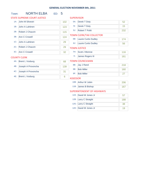# Town: **NORTH ELBA** ED: 5

|        | <b>STATE SUPREME COURT JUSTICE</b> |     | <b>SUPERVISOR</b>   |                                 |     |
|--------|------------------------------------|-----|---------------------|---------------------------------|-----|
| $1A$ : | John M Silvestri                   | 102 | 5A:                 | Derek T Doty                    | 52  |
| 1B:    | John A Lahtinen                    | 123 | $5$ :               | Derek T Doty                    | 15  |
| 2B:    | <b>Robert J Chauvin</b>            | 115 | 5J:                 | <b>Robert T Politi</b>          | 232 |
| 3B:    | Ann C Crowell                      | 124 |                     | <b>TOWN CLERK/TAX COLLECTOR</b> |     |
|        |                                    |     | 6B:                 | <b>Laurie Curtis Dudley</b>     | 174 |
| $1C$ : | John A Lahtinen                    | 29  | 6J:                 | <b>Laurie Curtis Dudley</b>     | 56  |
| $2C$ : | Robert J Chauvin                   | 29  | <b>TOWN JUSTICE</b> |                                 |     |
| $3C$ : | <b>Ann C Crowell</b>               | 32  | 7H:                 | Scott J Monroe                  | 116 |
|        | <b>COUNTY CLERK</b>                |     | 7!                  | James Rogers III                | 161 |
| 4A:    | <b>Brent L Vosburg</b>             | 68  |                     | <b>TOWN COUNCILMAN</b>          |     |
| 4B:    | Joseph A Provoncha                 | 139 | 8B:                 | Jay J Rand                      | 218 |
|        |                                    |     | 9B:                 | <b>Bob Miller</b>               | 160 |
| $4C$ : | Joseph A Provoncha                 | 31  | 9F:                 | <b>Bob Miller</b>               | 27  |
| 4E:    | <b>Brent L Vosburg</b>             | 6   | <b>ASSESSOR</b>     |                                 |     |
|        |                                    |     |                     | 10B: Arthur W Jubin             | 206 |
|        |                                    |     |                     | 11B: James B Bishop             | 167 |
|        |                                    |     |                     |                                 |     |

| 12A: David W Jones Jr | 57  |
|-----------------------|-----|
| 12B: Larry C Straight | 188 |
| 12G: Larry C Straight | 38  |
| 12H: David W Jones Jr | 19  |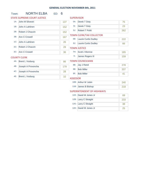# Town: NORTH ELBA ED: 6

|        | <b>STATE SUPREME COURT JUSTICE</b> |     | <b>SUPERVISOR</b>                  |               |
|--------|------------------------------------|-----|------------------------------------|---------------|
| $1A$ : | John M Silvestri                   | 137 | Derek T Doty<br>5A:                | 75            |
| 1B:    | John A Lahtinen                    | 152 | $5$ :<br>Derek T Doty              | 23            |
| 2B:    | <b>Robert J Chauvin</b>            | 152 | 5J:<br><b>Robert T Politi</b>      | 262           |
| 3B:    | Ann C Crowell                      | 167 | <b>TOWN CLERK/TAX COLLECTOR</b>    |               |
|        |                                    |     | <b>Laurie Curtis Dudley</b><br>6B: | 222           |
| $1C$ : | John A Lahtinen                    | 26  | 6J:<br><b>Laurie Curtis Dudley</b> | 66            |
| 2C:    | <b>Robert J Chauvin</b>            | 29  | <b>TOWN JUSTICE</b>                |               |
| $3C$ : | Ann C Crowell                      | 36  | Scott J Monroe<br>7H:              | 165           |
|        | <b>COUNTY CLERK</b>                |     | 7!<br>James Rogers III             | 159           |
| 4A:    | <b>Brent L Vosburg</b>             | 86  | <b>TOWN COUNCILMAN</b>             |               |
| 4B:    | Joseph A Provoncha                 | 179 | Jay J Rand<br>8B:                  | 278           |
|        |                                    |     | 9B:<br><b>Bob Miller</b>           | 207           |
| 4C:    | Joseph A Provoncha                 | 28  | <b>Bob Miller</b><br>9F:           | 41            |
| 4E:    | <b>Brent L Vosburg</b>             | 10  | <b>ASSESSOR</b>                    |               |
|        |                                    |     | 10B: Arthur W Jubin                | 240           |
|        |                                    |     | 11D: Lompe D. Dichen               | $\sim$ $\sim$ |

| 11B: James B Bishop |  |
|---------------------|--|

| 12A: David W Jones Jr | 69  |
|-----------------------|-----|
| 12B: Larry C Straight | 233 |
| 12G: Larry C Straight | 38  |
| 12H: David W Jones Jr | 25  |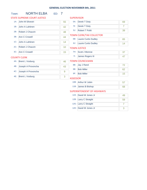# Town: **NORTH ELBA** ED: 7

4C: Joseph A Provoncha 9

4E: Brent L Vosburg 3

#### **SUPERVISOR** 5A: Derek T Doty 69 5I: Derek T Doty 7 6B: Laurie Curtis Dudley 65 7H: Scott J Monroe 37 71: James Rogers III 47 TOWN CLERK/TAX COLLECTOR TOWN JUSTICE TOWN COUNCILMAN STATE SUPREME COURT JUSTICE 1A: John M Silvestri 55 1B: John A Lahtinen 42 2B: Robert J Chauvin 48 3B: Ann C Crowell 44 1C: John A Lahtinen 14 2C: Robert J Chauvin 10 3C: Ann C Crowell 15 COUNTY CLERK 4A: Brent L Vosburg 46 4B: Joseph A Provoncha 43 5J: Robert T Politi 39 6J: Laurie Curtis Dudley 14

| 8B: Jay J Rand |    |
|----------------|----|
| 9B: Bob Miller |    |
| 9F: Bob Miller | 15 |

#### ASSESSOR

| 10B: Arthur W Jubin |  |
|---------------------|--|
| 11B: James B Bishop |  |

| 49                                                                                               |
|--------------------------------------------------------------------------------------------------|
| 59                                                                                               |
|                                                                                                  |
|                                                                                                  |
| 12A: David W Jones Jr<br>12B: Larry C Straight<br>12G: Larry C Straight<br>12H: David W Jones Jr |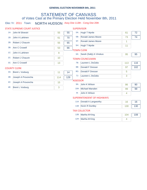# STATEMENT OF CANVASS of Votes Cast at the Primary Election Held November 8th, 2011

# Elec Yr: 2011 Town: NORTH HUDSON Assy Dist 113th - Cong Dist 20th

#### STATE SUPREME COURT JUSTICE

#### SUPERVISOR

| $1A$ : | John M Silvestri        | 55  | 55  | 5A:             | <b>Hugh T Myrtle</b>        | 61  | 72  |
|--------|-------------------------|-----|-----|-----------------|-----------------------------|-----|-----|
| 1B:    | John A Lahtinen         | 61  | 70  | 5B:             | <b>Ronald James Moore</b>   | 73  | 74  |
| 2B:    | Robert J Chauvin        | 55  | 65  | 5F:             | Ronald James Moore          | 1   |     |
| 3B:    | Ann C Crowell           | 53  | 66  | 5H:             | <b>Hugh T Myrtle</b>        | 11  |     |
|        |                         |     |     |                 | <b>TOWN CLERK</b>           |     |     |
| $1C$ : | John A Lahtinen         | 9   |     |                 | 6A: Sarah (Sally) A Vinskus | 95  | 95  |
| $2C$ : | <b>Robert J Chauvin</b> | 10  |     |                 | <b>TOWN COUNCILMAN</b>      |     |     |
| $3C$ : | Ann C Crowell           | 13  |     | 7B:             | Laureen L DeZalia           | 113 | 116 |
|        | <b>COUNTY CLERK</b>     |     |     | 8B:             | Donald F Dresser            | 97  | 102 |
| 4A:    | <b>Brent L Vosburg</b>  | 11  | 14  | 8G:             | Donald F Dresser            | 5   |     |
| 4B:    | Joseph A Provoncha      | 114 | 129 | 7J:             | Laureen L DeZalia           | 3   |     |
|        |                         |     |     | <b>ASSESSOR</b> |                             |     |     |
| $4C$ : | Joseph A Provoncha      | 15  |     | 9A:             | John K Wilson               | 86  | 90  |
| 4E:    | <b>Brent L Vosburg</b>  | 3   |     |                 | 10A: Michael Marsden        | 99  | 99  |
|        |                         |     |     | $9$ :           | John K Wilson               | 4   |     |

#### SUPERINTENDENT OF HIGHWAYS

| 11A: Donald A Langworthy | 16  |
|--------------------------|-----|
| 11B: Kevin R Duntley     | 130 |

#### TAX COLLECTOR

| 12B: Martha M King | 104 | 108 |
|--------------------|-----|-----|
| 12H: Martha M King |     |     |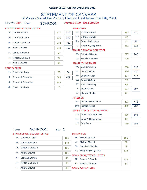# STATEMENT OF CANVASS of Votes Cast at the Primary Election Held November 8th, 2011

## Elec Yr: 2011 Town: SCHROON Assy Dist 113th - Cong Dist 20th

# STATE SUPREME COURT JUSTICE

**CUPEDVICOR** 

|        | STATE SUPREME COURT JUSTICE |     |     | <b>SUPERVISOR</b> |                                                       |                        |
|--------|-----------------------------|-----|-----|-------------------|-------------------------------------------------------|------------------------|
| $1A$ : | John M Silvestri            | 377 | 377 | 5B:               | Michael Marnell                                       | 383                    |
| 1B:    | John A Lahtinen             | 331 | 397 | $5G$ :            | Michael Marnell                                       | 47                     |
| 2B:    | Robert J Chauvin            | 342 | 420 | 5H:               | Dennis C Christian                                    | 31                     |
| 3B:    | Ann C Crowell               | 374 | 457 | 5J:               | Margaret (Meg) Wood                                   | 312                    |
| $1C$ : | John A Lahtinen             | 66  |     | 6B:               | <b>TOWN CLERK/TAX COLLECTOR</b><br>Patricia J Savarie |                        |
| 2C:    | Robert J Chauvin            | 78  |     | 6J:               | Patricia J Savarie                                    | 597<br>10 <sub>S</sub> |
| $3C$ : | Ann C Crowell               | 83  |     |                   | <b>TOWN COUNCILMAN</b>                                |                        |
|        |                             |     |     |                   |                                                       |                        |

#### COUNTY CLERK

|     | 4A: Brent L Vosburg    | 73  | 86  |
|-----|------------------------|-----|-----|
| 4B: | Joseph A Provoncha     | 564 | 667 |
|     | 4C: Joseph A Provoncha | 103 |     |
|     | 4E: Brent L Vosburg    |     |     |

| JWN COUNCILMAN |                     |     |     |  |
|----------------|---------------------|-----|-----|--|
| $7A$ :         | Mark C Whitney      | 256 | 319 |  |
| 7B:            | Clara M Phibbs      | 459 | 520 |  |
| 8B:            | Donald C Sage       | 407 | 477 |  |
| 8C:            | Donald C Sage       | 70  |     |  |
| 7F:            | Mark C Whitney      | 63  |     |  |
| 7!             | <b>Bruse E Caza</b> | 107 | 107 |  |
| 7J:            | Clara M Phibbs      | 61  |     |  |
|                |                     |     |     |  |

430

31 312

706

#### ASSESSOR

| 9G: Richard Schoenstadt |  |
|-------------------------|--|
| 10G: Richard Newell     |  |

#### SUPERINTENDENT OF HIGHWAYS

| 11B: Dana W Shaughnessy | 505 | 586 |
|-------------------------|-----|-----|
| 11F: Dana W Shaughnessy |     |     |
| 11: Dale Pecor          | 189 | 189 |

STATE SUPREME COURT JUSTICE

Town: **SCHROON** ED: 1

#### **SUPERVISOR**

| $1A$ : | John M Silvestri | 186 | 5B:    | Michael Marnell                 | 181 |
|--------|------------------|-----|--------|---------------------------------|-----|
| 1B:    | John A Lahtinen  | 140 | $5G$ : | Michael Marnell                 | 24  |
| 2B:    | Robert J Chauvin | 151 | 5H:    | Dennis C Christian              | 17  |
|        |                  |     | 5J:    | Margaret (Meg) Wood             | 134 |
| 3B:    | Ann C Crowell    | 161 |        |                                 |     |
|        |                  |     |        | <b>TOWN CLERK/TAX COLLECTOR</b> |     |
| 1C:    | John A Lahtinen  | 34  |        |                                 |     |
|        |                  |     |        | 6B: Patricia J Savarie          | 275 |
| 2C:    | Robert J Chauvin | 40  |        |                                 |     |
|        |                  |     | 6J:    | Patricia J Savarie              | 44  |
| 3C:    |                  |     |        |                                 |     |
|        | Ann C Crowell    | 40  |        | <b>TOWN COUNCILMAN</b>          |     |
|        |                  |     |        |                                 |     |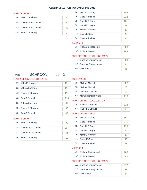#### COUNTY CLERK

- 4A: Brent L Vosburg 34
- 4B: Joseph A Provoncha 267 4C: Joseph A Provoncha 52 4E: Brent L Vosburg 3

| $7A$ : | Mark C Whitney      | 105 |
|--------|---------------------|-----|
| 7B:    | Clara M Phibbs      | 218 |
| 8B:    | Donald C Sage       | 181 |
| 8C:    | Donald C Sage       | 31  |
| 7F:    | Mark C Whitney      | 33  |
| 7!     | <b>Bruse E Caza</b> | 62  |
| 7J:    | Clara M Phibbs      | 30  |

#### ASSESSOR

| 9G: Richard Schoenstadt | 208 |
|-------------------------|-----|
| 10G: Richard Newell     | 89  |

#### SUPERINTENDENT OF HIGHWAYS

| 11B: Dana W Shaughnessy | 233 |
|-------------------------|-----|
| 11F: Dana W Shaughnessy |     |
| 11: Dale Pecor          |     |

## Town: **SCHROON** ED: 2

#### STATE SUPREME COURT JUSTICE

| $1A$ :          | John M Silvestri | 191 |
|-----------------|------------------|-----|
| 1B:             | John A Lahtinen  | 191 |
| 2B:             | Robert J Chauvin | 191 |
| 3B:             | Ann C Crowell    | 213 |
| 1C <sub>1</sub> | John A Lahtinen  | 32  |
| $2C^2$          | Robert J Chauvin | 38  |
| 3C <sub>1</sub> | Ann C Crowell    | 43  |

#### **SUPERVISOR**

| 5B: Michael Marnell     | 202 |
|-------------------------|-----|
| 5G: Michael Marnell     | 23  |
| 5H: Dennis C Christian  | 14  |
| 5J: Margaret (Meg) Wood | 178 |

#### TOWN CLERK/TAX COLLECTOR

| 6B: Patricia J Savarie |  |
|------------------------|--|
| 6J: Patricia J Savarie |  |

#### TOWN COUNCILMAN

| $7A$ : | Mark C Whitney      | 151 |
|--------|---------------------|-----|
| 7B:    | Clara M Phibbs      | 241 |
| 8B:    | Donald C Sage       | 226 |
| 8C:    | Donald C Sage       | 39  |
| 7F:    | Mark C Whitney      | 30  |
| $7$ :  | <b>Bruse E Caza</b> | 45  |
| 7J:    | Clara M Phibbs      | 31  |

#### ASSESSOR

| 9G: Richard Schoenstadt |     |
|-------------------------|-----|
| 10G: Richard Newell     | 212 |

#### SUPERINTENDENT OF HIGHWAYS

| 11B: Dana W Shaughnessy |  |
|-------------------------|--|
| 11F: Dana W Shaughnessy |  |
| 11: Dale Pecor          |  |

## COUNTY CLERK

| 4A: Brent L Vosburg    | 39  |
|------------------------|-----|
| 4B: Joseph A Provoncha | 297 |
| 4C: Joseph A Provoncha | 51  |
| 4E: Brent L Vosburg    |     |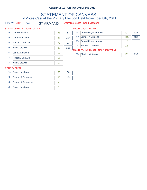# STATEMENT OF CANVASS of Votes Cast at the Primary Election Held November 8th, 2011

Elec Yr: 2011 Town: ST ARMAND Assy Dist 114th - Cong Dist 23rd

|        | STATE SUPREME COURT JUSTICE |    |     |        | <b>TOWN COUNCILMAN</b>         |     |     |
|--------|-----------------------------|----|-----|--------|--------------------------------|-----|-----|
| $1A$ : | John M Silvestri            | 63 | 63  | 5A:    | Donald Raymond Amell           | 107 | 124 |
| 1B:    | John A Lahtinen             | 87 | 104 | 6B:    | Samuel A Grimone               | 115 | 130 |
| 2B:    | Robert J Chauvin            | 78 | 93  | 5F:    | <b>Donald Raymond Amell</b>    | 17  |     |
| 3B:    | Ann C Crowell               | 88 | 106 | $6F$ : | Samuel A Grimone               | 15  |     |
| $1C$ : | John A Lahtinen             |    |     |        | TOWN COUNCILMAN UNEXPIRED TERM |     |     |
|        |                             | 17 |     | 7B:    | Charles Whitson Jr             | 132 | 132 |
| $2C$ : | Robert J Chauvin            | 15 |     |        |                                |     |     |
| $3C$ : | Ann C Crowell               | 18 |     |        |                                |     |     |

#### COUNTY CLERK

|     | 4A: Brent L Vosburg    | 55 | 60  |
|-----|------------------------|----|-----|
| 4B: | Joseph A Provoncha     | 95 | 104 |
|     | 4C: Joseph A Provoncha |    |     |
|     | 4E: Brent L Vosburg    |    |     |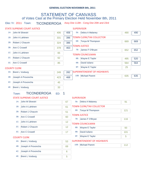# STATEMENT OF CANVASS of Votes Cast at the Primary Election Held November 8th, 2011

# Elec Yr: 2011 Town: TICONDEROGA Assy Dist 113th - Cong Dist 20th and 23rd

|        |                      | <b>STATE SUPREME COURT JUSTICE</b> |     |     | <b>SUPERVISOR</b> |                                   |     |     |
|--------|----------------------|------------------------------------|-----|-----|-------------------|-----------------------------------|-----|-----|
|        |                      | 1A: John M Silvestri               | 406 | 406 | 5b:               | Debra A Malaney                   | 490 | 490 |
| 1B:    |                      | John A Lahtinen                    | 331 | 396 |                   | <b>TOWN CLERK/TAX COLLECTOR</b>   |     |     |
| 2B:    |                      | Robert J Chauvin                   | 324 | 386 | 6B:               | Tonya M Thompson                  | 669 | 669 |
| 3B:    | <b>Ann C Crowell</b> |                                    | 378 | 463 |                   | <b>TOWN JUSTICE</b>               |     |     |
| $1C$ : |                      | John A Lahtinen                    | 65  |     |                   | 7B: James F O'Bryan               | 652 | 652 |
| $2C$ : |                      |                                    |     |     |                   | <b>TOWN COUNCILMAN</b>            |     |     |
|        |                      | Robert J Chauvin                   | 62  |     | 8B:               | Wayne E Taylor                    | 495 | 520 |
| 3C:    | Ann C Crowell        |                                    | 85  |     | 9B:               | David Iuliano                     | 564 | 564 |
|        | <b>COUNTY CLERK</b>  |                                    |     |     | 8F:               | Wayne E Taylor                    | 25  |     |
| 4A:    |                      | <b>Brent L Vosburg</b>             | 249 | 282 |                   | <b>SUPERINTENDENT OF HIGHWAYS</b> |     |     |
| 4B:    |                      | Joseph A Provoncha                 | 423 | 468 |                   | 10B: Michael Parent               | 635 | 635 |
| 4C:    |                      | Joseph A Provoncha                 | 45  |     |                   |                                   |     |     |
|        |                      |                                    |     |     |                   |                                   |     |     |
| 4E:    |                      | <b>Brent L Vosburg</b>             | 33  |     |                   |                                   |     |     |
|        | Town:                | <b>TICONDEROGA</b>                 | ED: | 1   |                   |                                   |     |     |
|        |                      | <b>STATE SUPREME COURT JUSTICE</b> |     |     | <b>SUPERVISOR</b> |                                   |     |     |
|        | 1A:                  | John M Silvestri                   |     | 67  | $5b$ :            | Debra A Malaney                   | 91  |     |
|        | 1B:                  | John A Lahtinen                    |     | 61  |                   | <b>TOWN CLERK/TAX COLLECTOR</b>   |     |     |
|        | 2B:                  | Robert J Chauvin                   |     | 51  | 6B:               | Tonya M Thompson                  | 121 |     |
|        | 3B:                  | <b>Ann C Crowell</b>               |     | 60  |                   | <b>TOWN JUSTICE</b>               |     |     |
|        |                      |                                    |     |     | 7B:               | James F O'Bryan                   | 116 |     |
|        | 1C:                  | John A Lahtinen                    |     | 12  |                   | <b>TOWN COUNCILMAN</b>            |     |     |
|        | 2C:                  | Robert J Chauvin                   |     | 12  | 8B:               | Wayne E Taylor                    | 93  |     |
|        |                      | 3C: Ann C Crowell                  |     | 17  | 9B:               | David Iuliano                     | 101 |     |
|        |                      | <b>COUNTY CLERK</b>                |     |     | 8F:               | Wayne E Taylor                    | 5   |     |
|        | 4A:                  | <b>Brent L Vosburg</b>             |     | 53  |                   | <b>SUPERINTENDENT OF HIGHWAYS</b> |     |     |
|        | 4B:                  | Joseph A Provoncha                 |     | 69  |                   | 10B: Michael Parent               | 112 |     |
|        | 4C:                  | Joseph A Provoncha                 |     | 6   |                   |                                   |     |     |
|        | 4E:                  | <b>Brent L Vosburg</b>             |     | 5   |                   |                                   |     |     |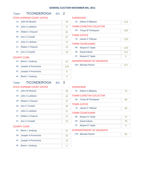# Town: TICONDEROGA ED: 2

|        |                                    |                         | <b>SUPERVISOR</b>                 |     |
|--------|------------------------------------|-------------------------|-----------------------------------|-----|
| $1A$ : | John M Silvestri                   | 78                      | $5b$ :<br>Debra A Malaney         | 110 |
| 1B:    | John A Lahtinen                    | 71                      | <b>TOWN CLERK/TAX COLLECTOR</b>   |     |
| 2B:    | Robert J Chauvin                   | 81                      | Tonya M Thompson<br>6B:           | 135 |
| 3B:    | <b>Ann C Crowell</b>               | 87                      | <b>TOWN JUSTICE</b>               |     |
|        |                                    |                         | 7B:<br>James F O'Bryan            | 133 |
| $1C$ : | John A Lahtinen                    | 12                      | <b>TOWN COUNCILMAN</b>            |     |
| $2C$ : | Robert J Chauvin                   | 14                      | Wayne E Taylor<br>8B:             | 119 |
| 3C:    | <b>Ann C Crowell</b>               | 18                      | 9B:<br>David Iuliano              | 112 |
|        | <b>COUNTY CLERK</b>                |                         | 8F:<br>Wayne E Taylor             | 5   |
| 4A:    | <b>Brent L Vosburg</b>             | 42                      | <b>SUPERINTENDENT OF HIGHWAYS</b> |     |
| 4B:    | Joseph A Provoncha                 | 104                     | 10B: Michael Parent               | 127 |
| 4C:    | Joseph A Provoncha                 | 6                       |                                   |     |
| 4E:    | <b>Brent L Vosburg</b>             | 4                       |                                   |     |
| Town:  | <b>TICONDEROGA</b><br>ED:          | $\overline{\mathbf{3}}$ |                                   |     |
|        | <b>STATE SUPREME COURT JUSTICE</b> |                         | <b>SUPERVISOR</b>                 |     |
| 1A:    | John M Silvestri                   |                         |                                   |     |
| 1B:    |                                    | 59                      | Debra A Malaney<br>$5b$ :         | 70  |
|        | John A Lahtinen                    | 42                      | <b>TOWN CLERK/TAX COLLECTOR</b>   |     |
| 2B:    | Robert J Chauvin                   | 47                      | 6B:<br>Tonya M Thompson           | 99  |
|        |                                    |                         | <b>TOWN JUSTICE</b>               |     |
| 3B:    | <b>Ann C Crowell</b>               | 45                      | James F O'Bryan<br>7B:            | 90  |
| 1C:    | John A Lahtinen                    | 11                      | <b>TOWN COUNCILMAN</b>            |     |
| 2C:    | Robert J Chauvin                   | 12                      | Wayne E Taylor<br>8B:             | 72  |
| 3C:    | Ann C Crowell                      | 15                      | 9B:<br>David Iuliano              | 78  |
|        | <b>COUNTY CLERK</b>                |                         | 8F:<br>Wayne E Taylor             | 5   |
| 4A:    | <b>Brent L Vosburg</b>             | 41                      | <b>SUPERINTENDENT OF HIGHWAYS</b> |     |
| 4B:    | Joseph A Provoncha                 | 52                      | 10B: Michael Parent               | 92  |
| $4C$ : | Joseph A Provoncha                 | 10                      |                                   |     |
| 4E:    | <b>Brent L Vosburg</b>             | 4                       |                                   |     |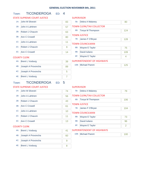# Town: TICONDEROGA ED: 4

|        | <b>STATE SUPREME COURT JUSTICE</b> |    | <b>SUPERVISOR</b> |                                   |                |
|--------|------------------------------------|----|-------------------|-----------------------------------|----------------|
| $1A$ : | John M Silvestri                   | 83 | $5b$ :            | Debra A Malaney                   | 80             |
| 1B:    | John A Lahtinen                    | 57 |                   | <b>TOWN CLERK/TAX COLLECTOR</b>   |                |
| 2B:    | Robert J Chauvin                   | 63 | 6B:               | Tonya M Thompson                  | 124            |
| 3B:    | <b>Ann C Crowell</b>               | 80 |                   | <b>TOWN JUSTICE</b>               |                |
|        |                                    |    | 7B:               | James F O'Bryan                   | 128            |
| $1C$ : | John A Lahtinen                    | 11 |                   | <b>TOWN COUNCILMAN</b>            |                |
| 2C:    | Robert J Chauvin                   | 9  | 8B:               | Wayne E Taylor                    | 75             |
| 3C:    | <b>Ann C Crowell</b>               | 14 | 9B:               | David Iuliano                     | 109            |
|        | <b>COUNTY CLERK</b>                |    | 8F:               | Wayne E Taylor                    | 4              |
| 4A:    | <b>Brent L Vosburg</b>             | 39 |                   | <b>SUPERINTENDENT OF HIGHWAYS</b> |                |
| 4B:    | Joseph A Provoncha                 | 89 |                   | 10B: Michael Parent               | 125            |
| 4C:    | Joseph A Provoncha                 | 5  |                   |                                   |                |
| 4E:    | <b>Brent L Vosburg</b>             | 7  |                   |                                   |                |
| Town:  | <b>TICONDEROGA</b>                 |    |                   |                                   |                |
|        |                                    |    |                   |                                   |                |
|        | ED:                                | 5  |                   |                                   |                |
|        | <b>STATE SUPREME COURT JUSTICE</b> |    | <b>SUPERVISOR</b> |                                   |                |
| $1A$ : | John M Silvestri                   | 74 | $5b$ :            | Debra A Malaney                   | 79             |
| 1B:    | John A Lahtinen                    | 56 |                   | <b>TOWN CLERK/TAX COLLECTOR</b>   |                |
| 2B:    | Robert J Chauvin                   | 43 | 6B:               | Tonya M Thompson                  | 106            |
| 3B:    | <b>Ann C Crowell</b>               | 61 |                   | <b>TOWN JUSTICE</b>               |                |
|        |                                    |    | 7B:               | James F O'Bryan                   | 104            |
| $1C$ : | John A Lahtinen                    | 10 |                   | <b>TOWN COUNCILMAN</b>            |                |
| 2C:    | Robert J Chauvin                   | 11 | 8B:               | Wayne E Taylor                    | 73             |
| 3C:    | Ann C Crowell                      | 13 | 9B:               | David Iuliano                     | 96             |
|        | <b>COUNTY CLERK</b>                |    | 8F:               | Wayne E Taylor                    | $\overline{2}$ |
| 4A:    | <b>Brent L Vosburg</b>             | 41 |                   | <b>SUPERINTENDENT OF HIGHWAYS</b> |                |
| 4B:    | Joseph A Provoncha                 | 60 |                   | 10B: Michael Parent               | 100            |
| 4C:    | Joseph A Provoncha                 | 9  |                   |                                   |                |
| 4E:    | <b>Brent L Vosburg</b>             | 8  |                   |                                   |                |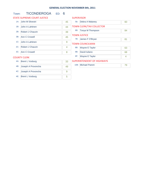# Town: **TICONDEROGA** ED: 6

|        | <b>STATE SUPREME COURT JUSTICE</b> |    | <b>SUPERVISOR</b>   |                                   |    |
|--------|------------------------------------|----|---------------------|-----------------------------------|----|
| $1A$ : | John M Silvestri                   | 45 | $5b$ :              | Debra A Malaney                   | 60 |
| 1B:    | John A Lahtinen                    | 44 |                     | <b>TOWN CLERK/TAX COLLECTOR</b>   |    |
| 2B:    | Robert J Chauvin                   | 39 | 6B:                 | Tonya M Thompson                  | 84 |
| 3B:    | Ann C Crowell                      | 45 | <b>TOWN JUSTICE</b> |                                   |    |
|        |                                    |    | 7B:                 | James F O'Bryan                   | 81 |
| $1C$ : | John A Lahtinen                    | 9  |                     | <b>TOWN COUNCILMAN</b>            |    |
| 2C:    | Robert J Chauvin                   | 4  | 8B:                 | Wayne E Taylor                    | 63 |
| $3C$ : | Ann C Crowell                      | 8  | 9B:                 | David Iuliano                     | 68 |
|        | <b>COUNTY CLERK</b>                |    | 8F:                 | Wayne E Taylor                    | 4  |
| 4A:    | <b>Brent L Vosburg</b>             | 33 |                     | <b>SUPERINTENDENT OF HIGHWAYS</b> |    |
| 4B:    | Joseph A Provoncha                 | 49 |                     | 10B: Michael Parent               | 79 |
| $4C$ : | Joseph A Provoncha                 | 9  |                     |                                   |    |
| 4E:    | <b>Brent L Vosburg</b>             | 5  |                     |                                   |    |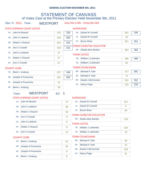# STATEMENT OF CANVASS of Votes Cast at the Primary Election Held November 8th, 2011

|  |  |  | Elec Yr: 2011 | Towi |
|--|--|--|---------------|------|
|--|--|--|---------------|------|

n: WESTPORT Assy Dist 113th - Cong Dist 23rd

|        |                             | 230                                                                                                                                                                                                                                                                                                                                                                                                                                                                                                  | 230                               |                                | Daniel W Connell         | 302                                                                                                                                                                                                                                                                                                                                                                                                                                                                            | 335              |
|--------|-----------------------------|------------------------------------------------------------------------------------------------------------------------------------------------------------------------------------------------------------------------------------------------------------------------------------------------------------------------------------------------------------------------------------------------------------------------------------------------------------------------------------------------------|-----------------------------------|--------------------------------|--------------------------|--------------------------------------------------------------------------------------------------------------------------------------------------------------------------------------------------------------------------------------------------------------------------------------------------------------------------------------------------------------------------------------------------------------------------------------------------------------------------------|------------------|
|        |                             | 258                                                                                                                                                                                                                                                                                                                                                                                                                                                                                                  | 305                               | $5$ :                          | Daniel W Connell         | 33                                                                                                                                                                                                                                                                                                                                                                                                                                                                             |                  |
|        |                             | 263                                                                                                                                                                                                                                                                                                                                                                                                                                                                                                  | 310                               | 5J:                            | <b>Bruce Ware</b>        | 251                                                                                                                                                                                                                                                                                                                                                                                                                                                                            | 251              |
|        |                             |                                                                                                                                                                                                                                                                                                                                                                                                                                                                                                      |                                   |                                |                          |                                                                                                                                                                                                                                                                                                                                                                                                                                                                                |                  |
|        |                             |                                                                                                                                                                                                                                                                                                                                                                                                                                                                                                      |                                   | 6B:                            |                          | 483                                                                                                                                                                                                                                                                                                                                                                                                                                                                            | 483              |
|        |                             |                                                                                                                                                                                                                                                                                                                                                                                                                                                                                                      |                                   |                                |                          |                                                                                                                                                                                                                                                                                                                                                                                                                                                                                |                  |
|        |                             |                                                                                                                                                                                                                                                                                                                                                                                                                                                                                                      |                                   |                                |                          |                                                                                                                                                                                                                                                                                                                                                                                                                                                                                | 489              |
|        |                             |                                                                                                                                                                                                                                                                                                                                                                                                                                                                                                      |                                   |                                |                          |                                                                                                                                                                                                                                                                                                                                                                                                                                                                                |                  |
|        |                             |                                                                                                                                                                                                                                                                                                                                                                                                                                                                                                      |                                   |                                |                          |                                                                                                                                                                                                                                                                                                                                                                                                                                                                                |                  |
|        |                             | 207                                                                                                                                                                                                                                                                                                                                                                                                                                                                                                  | 246                               |                                |                          |                                                                                                                                                                                                                                                                                                                                                                                                                                                                                | 391              |
|        |                             | 261                                                                                                                                                                                                                                                                                                                                                                                                                                                                                                  | 303                               |                                |                          | 74                                                                                                                                                                                                                                                                                                                                                                                                                                                                             |                  |
|        |                             |                                                                                                                                                                                                                                                                                                                                                                                                                                                                                                      |                                   | 8H:                            |                          | 352                                                                                                                                                                                                                                                                                                                                                                                                                                                                            | 352              |
|        |                             |                                                                                                                                                                                                                                                                                                                                                                                                                                                                                                      |                                   | 8J:                            |                          | 233                                                                                                                                                                                                                                                                                                                                                                                                                                                                            | 233              |
|        |                             |                                                                                                                                                                                                                                                                                                                                                                                                                                                                                                      |                                   |                                |                          |                                                                                                                                                                                                                                                                                                                                                                                                                                                                                |                  |
|        |                             | ED:                                                                                                                                                                                                                                                                                                                                                                                                                                                                                                  | 1                                 |                                |                          |                                                                                                                                                                                                                                                                                                                                                                                                                                                                                |                  |
|        |                             |                                                                                                                                                                                                                                                                                                                                                                                                                                                                                                      |                                   |                                |                          |                                                                                                                                                                                                                                                                                                                                                                                                                                                                                |                  |
| 1A:    | John M Silvestri            |                                                                                                                                                                                                                                                                                                                                                                                                                                                                                                      | 70                                | 5A:                            |                          | 101                                                                                                                                                                                                                                                                                                                                                                                                                                                                            |                  |
| 1B:    | John A Lahtinen             |                                                                                                                                                                                                                                                                                                                                                                                                                                                                                                      | 68                                | 51:                            | Daniel W Connell         | 8                                                                                                                                                                                                                                                                                                                                                                                                                                                                              |                  |
| 2B:    | Robert J Chauvin            |                                                                                                                                                                                                                                                                                                                                                                                                                                                                                                      | 68                                | 5J:                            |                          | 46                                                                                                                                                                                                                                                                                                                                                                                                                                                                             |                  |
|        |                             |                                                                                                                                                                                                                                                                                                                                                                                                                                                                                                      |                                   |                                |                          |                                                                                                                                                                                                                                                                                                                                                                                                                                                                                |                  |
|        |                             |                                                                                                                                                                                                                                                                                                                                                                                                                                                                                                      |                                   | 6B:                            |                          | 130                                                                                                                                                                                                                                                                                                                                                                                                                                                                            |                  |
|        |                             |                                                                                                                                                                                                                                                                                                                                                                                                                                                                                                      |                                   |                                |                          |                                                                                                                                                                                                                                                                                                                                                                                                                                                                                |                  |
| $2C$ : | Robert J Chauvin            |                                                                                                                                                                                                                                                                                                                                                                                                                                                                                                      | 11                                | 7B:                            |                          | 106                                                                                                                                                                                                                                                                                                                                                                                                                                                                            |                  |
| 3C:    | Ann C Crowell               |                                                                                                                                                                                                                                                                                                                                                                                                                                                                                                      | 10                                | 7G:                            |                          | 18                                                                                                                                                                                                                                                                                                                                                                                                                                                                             |                  |
|        |                             |                                                                                                                                                                                                                                                                                                                                                                                                                                                                                                      |                                   |                                |                          |                                                                                                                                                                                                                                                                                                                                                                                                                                                                                |                  |
| 4A:    | <b>Brent L Vosburg</b>      |                                                                                                                                                                                                                                                                                                                                                                                                                                                                                                      | 62                                | 8B:                            | Michael K Tyler          | 96                                                                                                                                                                                                                                                                                                                                                                                                                                                                             |                  |
| 4B:    |                             |                                                                                                                                                                                                                                                                                                                                                                                                                                                                                                      |                                   | 8F:                            | Michael K Tyler          | 22                                                                                                                                                                                                                                                                                                                                                                                                                                                                             |                  |
|        |                             |                                                                                                                                                                                                                                                                                                                                                                                                                                                                                                      |                                   | 8H:                            | Daniel J McCormick       | 109                                                                                                                                                                                                                                                                                                                                                                                                                                                                            |                  |
|        |                             |                                                                                                                                                                                                                                                                                                                                                                                                                                                                                                      |                                   | 8J:                            | Nancy Page               | 41                                                                                                                                                                                                                                                                                                                                                                                                                                                                             |                  |
|        |                             |                                                                                                                                                                                                                                                                                                                                                                                                                                                                                                      |                                   |                                |                          |                                                                                                                                                                                                                                                                                                                                                                                                                                                                                |                  |
|        | 3B:<br>$1C$ :<br>4C:<br>4E: | <b>STATE SUPREME COURT JUSTICE</b><br>1A: John M Silvestri<br>John A Lahtinen<br>Robert J Chauvin<br>Ann C Crowell<br>John A Lahtinen<br>Robert J Chauvin<br>Ann C Crowell<br><b>COUNTY CLERK</b><br><b>Brent L Vosburg</b><br>Joseph A Provoncha<br>Joseph A Provoncha<br><b>Brent L Vosburg</b><br><b>WESTPORT</b><br>Town:<br><b>STATE SUPREME COURT JUSTICE</b><br>Ann C Crowell<br>John A Lahtinen<br><b>COUNTY CLERK</b><br>Joseph A Provoncha<br>Joseph A Provoncha<br><b>Brent L Vosburg</b> | 258<br>47<br>47<br>57<br>42<br>39 | 315<br>71<br>9<br>66<br>9<br>8 | 7B:<br>7G:<br>8B:<br>8F: | <b>SUPERVISOR</b><br>5A:<br><b>TOWN CLERK/TAX COLLECTOR</b><br>Sheila Alice Borden<br><b>TOWN JUSTICE</b><br>William J LaHendro<br>William J LaHendro<br><b>TOWN COUNCILMAN</b><br>Michael K Tyler<br>Michael K Tyler<br>Daniel J McCormick<br>Nancy Page<br><b>SUPERVISOR</b><br>Daniel W Connell<br><b>Bruce Ware</b><br><b>TOWN CLERK/TAX COLLECTOR</b><br>Sheila Alice Borden<br><b>TOWN JUSTICE</b><br>William J LaHendro<br>William J LaHendro<br><b>TOWN COUNCILMAN</b> | 396<br>93<br>317 |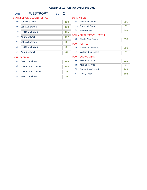# Town: WESTPORT ED: 2

|        | <b>STATE SUPREME COURT JUSTICE</b> |     | <b>SUPERVISOR</b> |                                 |     |
|--------|------------------------------------|-----|-------------------|---------------------------------|-----|
| 1A:    | John M Silvestri                   | 160 | 5A:               | Daniel W Connell                | 201 |
| 1B:    | John A Lahtinen                    | 190 | $5$ :             | Daniel W Connell                | 25  |
| 2B:    | Robert J Chauvin                   | 195 | 5J:               | <b>Bruce Ware</b>               | 205 |
| 3B:    | Ann C Crowell                      | 187 |                   | <b>TOWN CLERK/TAX COLLECTOR</b> |     |
|        |                                    |     | 6B:               | Sheila Alice Borden             | 353 |
| 1C:    | John A Lahtinen                    | 38  |                   | <b>TOWN JUSTICE</b>             |     |
| $2C$ : | Robert J Chauvin                   | 36  | 7B:               | William J LaHendro              | 290 |
| $3C$ : | Ann C Crowell                      | 47  | 7G:               | William J LaHendro              | 75  |
|        | <b>COUNTY CLERK</b>                |     |                   | <b>TOWN COUNCILMAN</b>          |     |
| 4A:    | <b>Brent L Vosburg</b>             | 145 | 8B:               | Michael K Tyler                 | 221 |
| 4B:    | Joseph A Provoncha                 | 195 | 8F:               | Michael K Tyler                 | 52  |
| 4C:    |                                    |     | 8H:               | Daniel J McCormick              | 243 |
|        | Joseph A Provoncha                 | 33  | 8J:               | <b>Nancy Page</b>               | 192 |
| 4E:    | <b>Brent L Vosburg</b>             | 31  |                   |                                 |     |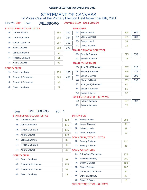# STATEMENT OF CANVASS of Votes Cast at the Primary Election Held November 8th, 2011

## Elec Yr: 2011 Town: WILLSBORO Assy Dist 113th - Cong Dist 23rd

# STATE SUPREME COURT JUSTICE

#### **SUPERVISOR**

|     | <b>JIAIL JUI INLIVIL COUNT JUJITICE</b> |     |     | <b>JUI LIVIJUIV</b> |                                 |     |     |
|-----|-----------------------------------------|-----|-----|---------------------|---------------------------------|-----|-----|
|     | 1A: John M Silvestri                    | 190 | 190 | 5A:                 | <b>Edward Hatch</b>             | 498 | 551 |
| 1B: | John A Lahtinen                         | 306 | 364 | 5B:                 | Lane J Sayward                  | 181 | 200 |
| 2B: | Robert J Chauvin                        | 297 | 358 | 5F:                 | <b>Edward Hatch</b>             | 53  |     |
|     | 3B: Ann C Crowell                       | 302 | 379 | 5G:                 | Lane J Sayward                  | 19  |     |
|     |                                         |     |     |                     | <b>TOWN CLERK/TAX COLLECTOR</b> |     |     |
|     | 1C: John A Lahtinen                     | 58  |     | 6B:                 | <b>Beverly P Moran</b>          | 575 | 653 |
|     | 2C: Robert J Chauvin                    | 61  |     | 6G:                 | Beverly P Moran                 | 78  |     |
|     | 3C: Ann C Crowell                       | 77  |     |                     | <b>TOWN COUNCILMAN</b>          |     |     |
|     |                                         |     |     |                     |                                 |     |     |

#### COUNTY CLERK

|     | 4A: Brent L Vosburg    | 158 | 180 |
|-----|------------------------|-----|-----|
| 4B: | Joseph A Provoncha     | 385 | 453 |
|     | 4C: Joseph A Provoncha | 68  |     |
|     | 4E: Brent L Vosburg    | 22  |     |

|        | TOWN COUNCILMAN                   |     |     |
|--------|-----------------------------------|-----|-----|
| $7A$ : | John (Jack) Thompson              | 267 | 318 |
| 8A:    | <b>Steven K Benway</b>            | 365 | 416 |
| 7B:    | <b>Susan E Swires</b>             | 262 | 299 |
| 8B:    | Shaun Gillilland                  | 333 | 333 |
| 7F:    | John (Jack) Thompson              | 51  |     |
| 8F:    | Steven K Benway                   | 51  |     |
|        | 7G: Susan E Swires                | 37  |     |
|        | <b>SUPERINTENDENT OF HIGHWAYS</b> |     |     |
| 9B:    | Peter A Jacques                   | 527 | 597 |

9G: Peter A Jacques

# Town: WILLSBORO ED: 1

#### STATE SUPREME COURT JUSTICE

|     | 1A: John M Silvestri | 113 |
|-----|----------------------|-----|
| 1B: | John A Lahtinen      | 171 |
| 2B: | Robert J Chauvin     | 175 |
|     | 3B: Ann C Crowell    | 179 |
|     | 1C: John A Lahtinen  | 39  |
| 2C: | Robert J Chauvin     | 40  |
|     | 3C: Ann C Crowell    | 47  |

#### COUNTY CLERK

| 4A: Brent L Vosburg    |     |
|------------------------|-----|
| 4B: Joseph A Provoncha | 205 |
| 4C: Joseph A Provoncha | 39  |
| 4E: Brent L Vosburg    | 13  |

#### **SUPERVISOR**

| 5A: Edward Hatch   | 283 |
|--------------------|-----|
| 5B: Lane J Sayward | 99  |
| 5F: Edward Hatch   | 31  |
| 5G: Lane J Sayward | 12  |

#### TOWN CLERK/TAX COLLECTOR

| 6B: Beverly P Moran | 32 <sup>4</sup> |
|---------------------|-----------------|
| 6G: Beverly P Moran | 46              |

#### TOWN COUNCILMAN

| $7A$ : | John (Jack) Thompson   | 175 |
|--------|------------------------|-----|
| 8A:    | <b>Steven K Benway</b> | 201 |
| 7B:    | <b>Susan E Swires</b>  | 129 |
| 8B:    | Shaun Gillilland       | 187 |
| 7F:    | John (Jack) Thompson   | 34  |
| 8F:    | Steven K Benway        | 27  |
| 7G:    | <b>Susan E Swires</b>  | 18  |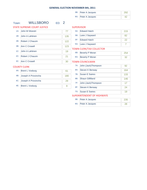| 9B: Peter A Jacques |  |
|---------------------|--|
| 9G: Peter A Jacques |  |

# Town: WILLSBORO ED: 2

STATE SUPREME COURT JUSTICE

1A: John M Silvestri 77

1B: John A Lahtinen 135

2B: Robert J Chauvin 122

3B: Ann C Crowell 23

1C: John A Lahtinen 19

2C: Robert J Chauvin 21

3C: Ann C Crowell 30

#### **SUPERVISOR**

| 5A: | <b>Edward Hatch</b>             | 215 |
|-----|---------------------------------|-----|
| 5B: | Lane J Sayward                  | 82  |
|     | 5F: Fdward Hatch                | 22  |
|     | 5G: Lane J Sayward              |     |
|     | <b>TOWN CLERK/TAX COLLECTOR</b> |     |
|     |                                 |     |

| 6B: Beverly P Moran |  |
|---------------------|--|
| 6G: Beverly P Moran |  |

# TOWN COUNCILMAN

|     | 7A: | John (Jack) Thompson    | 92  |
|-----|-----|-------------------------|-----|
| 61  | 8A: | <b>Steven K Benway</b>  | 164 |
| 180 | 7B: | <b>Susan E Swires</b>   | 133 |
| 29  | 8B: | <b>Shaun Gillilland</b> | 146 |
|     | 7F: | John (Jack) Thompson    | 17  |
| 9   | 8F: | <b>Steven K Benway</b>  | 24  |
|     | 7G: | <b>Susan E Swires</b>   | 19  |

### SUPERINTENDENT OF HIGHWAYS

| 9B: Peter A Jacques |  |
|---------------------|--|
| 9G: Peter A Jacques |  |

#### COUNTY CLERK

| 4A: Brent L Vosburg    |     |
|------------------------|-----|
| 4B: Joseph A Provoncha | 180 |
| 4C: Joseph A Provoncha | 29  |
| 4E: Brent L Vosburg    |     |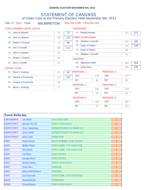# STATEMENT OF CANVASS of Votes Cast at the Primary Election Held November 8th, 2011

|  |  | Elec Yr: 2011 | Tow |
|--|--|---------------|-----|
|--|--|---------------|-----|

# In: WILMINGTON Assy Dist 113th - Cong Dist 23rd

|        | STATE SUPREME COURT JUSTICE |     |     |                 | <b>SUPERVISOR</b>      |     |                   |     |     |  |
|--------|-----------------------------|-----|-----|-----------------|------------------------|-----|-------------------|-----|-----|--|
|        | 1A: John M Silvestri        | 72  | 72  | $5F$ :          | <b>Randy Preston</b>   |     |                   | 111 | 111 |  |
| 1B:    | John A Lahtinen             | 93  | 127 |                 | <b>TOWN COUNCILMAN</b> |     |                   |     |     |  |
| 2B:    | Robert J Chauvin            | 72  | 96  | 6B:             | Stephen J Corvelli     |     |                   | 124 | 165 |  |
| 3B:    | Ann C Crowell               | 84  | 111 | 7B:             | Darin A Forbes         |     |                   | 114 | 149 |  |
| $1C$ : | John A Lahtinen             | 34  |     | 7G:             | Darin A Forbes         |     |                   | 35  |     |  |
|        |                             |     |     | 6H:             | Stephen J Corvelli     |     |                   | 41  |     |  |
| $2C$ : | Robert J Chauvin            | 24  |     | <b>ASSESSOR</b> |                        |     |                   |     |     |  |
| $3C$ : | Ann C Crowell               | 27  |     | 8B:             | Alphonso Smith         |     |                   | 164 | 164 |  |
|        | <b>COUNTY CLERK</b>         |     |     | 9B:             | Dana Peck              |     |                   | 175 | 175 |  |
| 4A:    | <b>Brent L Vosburg</b>      | 57  | 62  |                 | PROPOSAL-1             |     | PROPOSAL-4        |     |     |  |
| 4B:    | Joseph A Provoncha          | 117 | 137 | <b>YES</b>      |                        | 174 | <b>YES</b>        | 177 |     |  |
| $4C$ : | Joseph A Provoncha          | 20  |     | <b>NO</b>       |                        | 45  | <b>NO</b>         | 35  |     |  |
|        |                             |     |     |                 | <b>PROPOSAL-2</b>      |     | <b>PROPOSAL-5</b> |     |     |  |
| 4E:    | <b>Brent L Vosburg</b>      | 5   |     | <b>YES</b>      |                        | 191 | <b>YES</b>        | 174 |     |  |
|        |                             |     |     | <b>NO</b>       |                        | 23  | <b>NO</b>         | 41  |     |  |
|        |                             |     |     |                 | PROPOSAL-3             |     | PROPOSAL-6        |     |     |  |
|        |                             |     |     | <b>YES</b>      |                        | 184 | <b>YES</b>        | 105 |     |  |
|        |                             |     |     | <b>NO</b>       |                        | 27  | <b>NO</b>         | 111 |     |  |
|        |                             |     |     |                 |                        |     |                   |     |     |  |

| <b>Town Write-Ins</b> |                     |                                    |                |
|-----------------------|---------------------|------------------------------------|----------------|
| <b>CHESTERFIELD</b>   | <b>AL Hatch</b>     | <b>TAX COLLECTOR</b>               | $\mathbf{1}$   |
| <b>CROWN POINT</b>    | Dennis Stowell      | <b>TOWN COUNCILMAN</b>             | $\mathbf{1}$   |
| <b>CROWN POINT</b>    | Cory Armstrong      | SUPERINTENDENT OF HIGHWAYS         | $\mathbf{1}$   |
| <b>CROWN POINT</b>    | <b>Jerry Clarke</b> | SUPERINTENDENT OF HIGHWAYS         | $\mathbf{1}$   |
| <b>CROWN POINT</b>    | <b>Dick Clark</b>   | <b>SUPERVISOR</b>                  | $\mathbf{1}$   |
| <b>ESSEX</b>          | <b>Stuart Brody</b> | <b>STATE SUPREME COURT JUSTICE</b> | 1              |
| <b>ESSEX</b>          | <b>Robin Ulmer</b>  | TOWN CLERK/ TAX COLLECTOR          | $\mathbf{1}$   |
| <b>ESSEX</b>          | <b>Tim Burke</b>    | TOWN CLERK/ TAX COLLECTOR          | $\mathbf{1}$   |
| <b>ESSEX</b>          | Al Ulmer            | <b>TOWN JUSTICE</b>                | $\mathbf{1}$   |
| <b>ESSEX</b>          | <b>George Davis</b> | <b>TOWN JUSTICE</b>                | 1              |
| <b>ESSEX</b>          | Donna Jonnet        | <b>TOWN COUNCILMAN</b>             | $\mathbf{1}$   |
| <b>ESSEX</b>          | <b>Tom Duca</b>     | <b>ASSESSOR</b>                    | $\mathbf{1}$   |
| <b>ESSEX</b>          | Mary-Nell Bachman   | <b>ASSESSOR</b>                    | $\mathbf{1}$   |
| <b>ESSEX</b>          | Lois Sayward        | TOWN CLERK/ TAX COLLECTOR          | 1              |
| <b>KEENE</b>          | Donald Beede        | <b>SUPERVISOR</b>                  | $\mathbf{1}$   |
| <b>KEENE</b>          | <b>Craig Holmes</b> | <b>TOWN COUNCILMAN</b>             | $\overline{2}$ |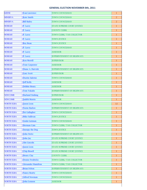| <b>Kate Smith</b><br><b>MINERVA</b><br>TOWN COUNCILMAN<br>2<br><b>Bill Bailey</b><br>TOWN COUNCILMAN<br>$\overline{2}$<br>P. Lacey<br>STATE SUPREME COURT JUSTICE<br>$\mathbf{1}$<br>P. Lacey<br><b>COUNTY CLERK</b><br>1<br>P. Lacey<br>TOWN CLERK/ TAX COLLECTOR<br>$\mathbf{1}$ |
|------------------------------------------------------------------------------------------------------------------------------------------------------------------------------------------------------------------------------------------------------------------------------------|
| <b>MINERVA</b><br><b>MORIAH</b><br><b>MORIAH</b><br><b>MORIAH</b>                                                                                                                                                                                                                  |
|                                                                                                                                                                                                                                                                                    |
|                                                                                                                                                                                                                                                                                    |
|                                                                                                                                                                                                                                                                                    |
|                                                                                                                                                                                                                                                                                    |
| <b>MORIAH</b><br>P. Lacey<br><b>TOWN JUSTICE</b><br>1                                                                                                                                                                                                                              |
| <b>MORIAH</b><br><b>Roy Bean</b><br><b>TOWN JUSTICE</b><br>$\mathbf{1}$                                                                                                                                                                                                            |
| <b>MORIAH</b><br>P. Lacey<br>TOWN COUNCILMAN<br>1                                                                                                                                                                                                                                  |
| <b>MORIAH</b><br>P. Lacey<br><b>ASSESSOR</b><br>$\mathbf{1}$                                                                                                                                                                                                                       |
| <b>MORIAH</b><br>P. Lacey<br>SUPERINTENDENT OF HIGHWAYS<br>1                                                                                                                                                                                                                       |
| <b>MORIAH</b><br><b>Ken Merrill</b><br><b>SUPERVISOR</b><br>$\mathbf{1}$                                                                                                                                                                                                           |
| <b>MORIAH</b><br><b>Tom Carpenter</b><br><b>ASSESSOR</b><br>1                                                                                                                                                                                                                      |
| <b>MORIAH</b><br>Diane A. Harvish<br>SUPERINTENDENT OF HIGHWAYS<br>$\mathbf{1}$                                                                                                                                                                                                    |
| <b>MORIAH</b><br><b>Gary Scott</b><br><b>SUPERVISOR</b><br>1                                                                                                                                                                                                                       |
| <b>MORIAH</b><br><b>Dustin Salerno</b><br><b>TOWN COUNCILMAN</b><br>$\mathbf{1}$                                                                                                                                                                                                   |
| <b>MORIAH</b><br>Jeff Kelly<br><b>ASSESSOR</b><br>1                                                                                                                                                                                                                                |
| <b>MORIAH</b><br>Debbie Henry<br><b>ASSESSOR</b><br>$\mathbf{1}$                                                                                                                                                                                                                   |
| <b>MORIAH</b><br><b>Tom Yukalis</b><br>SUPERINTENDENT OF HIGHWAYS<br>$\mathbf{1}$                                                                                                                                                                                                  |
| <b>Harland Stubing</b><br><b>NEWCOMB</b><br><b>SUPERVISOR</b><br>$\mathbf{1}$                                                                                                                                                                                                      |
| <b>Judith Morris</b><br><b>NEWCOMB</b><br><b>ASSESSOR</b><br>1                                                                                                                                                                                                                     |
| <b>NORTH ELBA</b><br><b>Jason Leon</b><br>TOWN COUNCILMAN<br>12                                                                                                                                                                                                                    |
| <b>NORTH ELBA</b><br>Norm Harlow<br>SUPERINTENDENT OF HIGHWAYS<br>$\mathbf{1}$                                                                                                                                                                                                     |
| Pat Gallagher<br><b>NORTH ELBA</b><br><b>TOWN COUNCILMAN</b><br>$\mathbf{1}$                                                                                                                                                                                                       |
| <b>Mike Sullivan</b><br><b>NORTH ELBA</b><br><b>TOWN JUSTICE</b><br>$\mathbf{1}$                                                                                                                                                                                                   |
| Linda Gutman<br><b>TOWN COUNCILMAN</b><br><b>NORTH ELBA</b><br>$\bf{1}$                                                                                                                                                                                                            |
| <b>NORTH ELBA</b><br>Herman Cain<br>TOWN CLERK/ TAX COLLECTOR<br>1                                                                                                                                                                                                                 |
| <b>NORTH ELBA</b><br>Snoopy the Dog<br><b>TOWN JUSTICE</b><br>1                                                                                                                                                                                                                    |
| John Steitz<br><b>NORTH ELBA</b><br>SUPERINTENDENT OF HIGHWAYS<br>1                                                                                                                                                                                                                |
| <b>NORTH ELBA</b><br>John Jay<br>STATE SUPREME COURT JUSTICE<br>1                                                                                                                                                                                                                  |
| Abe Lincoln<br>STATE SUPREME COURT JUSTICE<br><b>NORTH ELBA</b><br>$\mathbf{1}$                                                                                                                                                                                                    |
| <b>NORTH ELBA</b><br><b>Jason Leon</b><br>STATE SUPREME COURT JUSTICE<br>1                                                                                                                                                                                                         |
| <b>Chip Bissell</b><br><b>STATE SUPREME COURT JUSTICE</b><br><b>NORTH ELBA</b><br>1                                                                                                                                                                                                |
| <b>NORTH ELBA</b><br><b>Henry Clay</b><br><b>COUNTY CLERK</b><br>1                                                                                                                                                                                                                 |
| <b>Denise Fredricks</b><br><b>NORTH ELBA</b><br>$\mathbf{1}$<br>TOWN CLERK/ TAX COLLECTOR                                                                                                                                                                                          |
| <b>Alexander Hamilton</b><br><b>NORTH ELBA</b><br>TOWN CLERK/ TAX COLLECTOR<br>1                                                                                                                                                                                                   |
| <b>Brian Felton</b><br><b>NORTH ELBA</b><br>SUPERINTENDENT OF HIGHWAYS<br>$\mathbf{1}$                                                                                                                                                                                             |
| <b>Nancy Beatty</b><br>TOWN COUNCILMAN<br><b>NORTH ELBA</b><br>1                                                                                                                                                                                                                   |
| <b>NORTH ELBA</b><br><b>Alfred Newman</b><br>TOWN COUNCILMAN<br>$\mathbf{1}$                                                                                                                                                                                                       |
| <b>NORTH ELBA</b><br>John Lennon<br><b>ASSESSOR</b><br>1                                                                                                                                                                                                                           |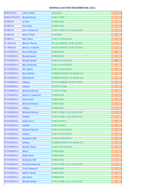| <b>NORTH ELBA</b>   | <b>Arlo Guthrie</b>      | <b>ASSESSOR</b>                    | 1              |
|---------------------|--------------------------|------------------------------------|----------------|
| <b>NORTH HUDSON</b> | <b>Brenda Bessey</b>     | <b>TOWN CLERK</b>                  | $\mathbf{1}$   |
| <b>SCHROON</b>      | J. Beck                  | <b>SUPERVISOR</b>                  | 1              |
| <b>SCHROON</b>      | <b>Tim Filler</b>        | <b>SUPERVISOR</b>                  | $\mathbf{1}$   |
| <b>SCHROON</b>      | <b>Lisa VanDerwell</b>   | TOWN CLERK/ TAX COLLECTOR          | 1              |
| <b>SCHROON</b>      | <b>Marty Welch</b>       | <b>ASSESSOR</b>                    | 1              |
| <b>SCHROON</b>      | <b>Bill Tribou</b>       | <b>TOWN COUNCILMAN</b>             | 1              |
| <b>ST ARMAND</b>    | <b>Brian P. Barrett</b>  | <b>STATE SUPREME COURT JUSTICE</b> | 1              |
| <b>ST ARMAND</b>    | <b>Bryan L. Kennelly</b> | <b>STATE SUPREME COURT JUSTICE</b> | 1              |
| <b>TICONDEROGA</b>  | <b>Ron Drinkwine</b>     | <b>SUPERVISOR</b>                  | 77             |
| <b>TICONDEROGA</b>  | <b>Brandi Banish</b>     | <b>SUPERVISOR</b>                  | 5              |
| <b>TICONDEROGA</b>  | <b>Brandy Banish</b>     | <b>TOWN COUNCILMAN</b>             | 49             |
| <b>TICONDEROGA</b>  | <b>Ron Drinkwine</b>     | <b>TOWN COUNCILMAN</b>             | 4              |
| <b>TICONDEROGA</b>  | Mr. Majors               | <b>TOWN COUNCILMAN</b>             | $\mathbf{1}$   |
| <b>TICONDEROGA</b>  | <b>Paul Sharkey</b>      | SUPERINTENDENT OF HIGHWAYS         | 3              |
| <b>TICONDEROGA</b>  | <b>Phil Huestis</b>      | SUPERINTENDENT OF HIGHWAYS         | 1              |
| <b>TICONDEROGA</b>  | Obama                    | STATE SUPREME COURT JUSTICE        | 3              |
| <b>TICONDEROGA</b>  | Obama                    | <b>COUNTY CLERK</b>                | 1              |
| <b>TICONDEROGA</b>  | <b>Richard Holroyd</b>   | <b>COUNTY CLERK</b>                | 1              |
| <b>TICONDEROGA</b>  | <b>Dorcey Crammond</b>   | <b>SUPERVISOR</b>                  | $\mathbf{1}$   |
| <b>TICONDEROGA</b>  | <b>Steve Boyce</b>       | <b>SUPERVISOR</b>                  | 1              |
| <b>TICONDEROGA</b>  | <b>Richard Holroyd</b>   | <b>SUPERVISOR</b>                  | $\mathbf{1}$   |
| <b>TICONDEROGA</b>  | Obama                    | <b>SUPERVISOR</b>                  | 1              |
| <b>TICONDEROGA</b>  | <b>Richard Holroyd</b>   | TOWN CLERK/ TAX COLLECTOR          | $\mathbf{1}$   |
| <b>TICONDEROGA</b>  | Obama                    | TOWN CLERK/ TAX COLLECTOR          | 1              |
| <b>TICONDEROGA</b>  | <b>John Graves</b>       | <b>TOWN JUSTICE</b>                | $\overline{0}$ |
| <b>TICONDEROGA</b>  | Obama                    | <b>TOWN JUSTICE</b>                | $\overline{0}$ |
| <b>TICONDEROGA</b>  | <b>Richard Holroyd</b>   | <b>TOWN COUNCILMAN</b>             | 3              |
| <b>TICONDEROGA</b>  | Obama                    | <b>TOWN COUNCILMAN</b>             | $\overline{2}$ |
| <b>TICONDEROGA</b>  | <b>Benjamin Hall</b>     | <b>TOWN COUNCILMAN</b>             | 1              |
| <b>TICONDEROGA</b>  | Obama                    | SUPERINTENDENT OF HIGHWAYS         | 1              |
| <b>TICONDEROGA</b>  | <b>Brandy Shultz</b>     | TOWN COUNCILMAN                    | 1              |
| <b>TICONDEROGA</b>  | Benji                    | <b>SUPERVISOR</b>                  | 1              |
| <b>TICONDEROGA</b>  | <b>Daffy Duck</b>        | <b>SUPERVISOR</b>                  | 1              |
| <b>TICONDEROGA</b>  | <b>Benjamin Hall</b>     | <b>SUPERVISOR</b>                  | $\overline{2}$ |
| <b>TICONDEROGA</b>  | <b>Richard Drinkwine</b> | TOWN CLERK/ TAX COLLECTOR          | 1              |
| <b>TICONDEROGA</b>  | <b>Terry Brannock</b>    | <b>SUPERVISOR</b>                  | $\mathbf{1}$   |
| <b>TICONDEROGA</b>  | <b>Mickey Mouse</b>      | <b>SUPERVISOR</b>                  | 1              |
| <b>TICONDEROGA</b>  | <b>Jim Major</b>         | <b>SUPERVISOR</b>                  | $\overline{3}$ |
| <b>TICONDEROGA</b>  | <b>Brandy Banish</b>     | TOWN CLERK/ TAX COLLECTOR          | 1              |
|                     |                          |                                    |                |